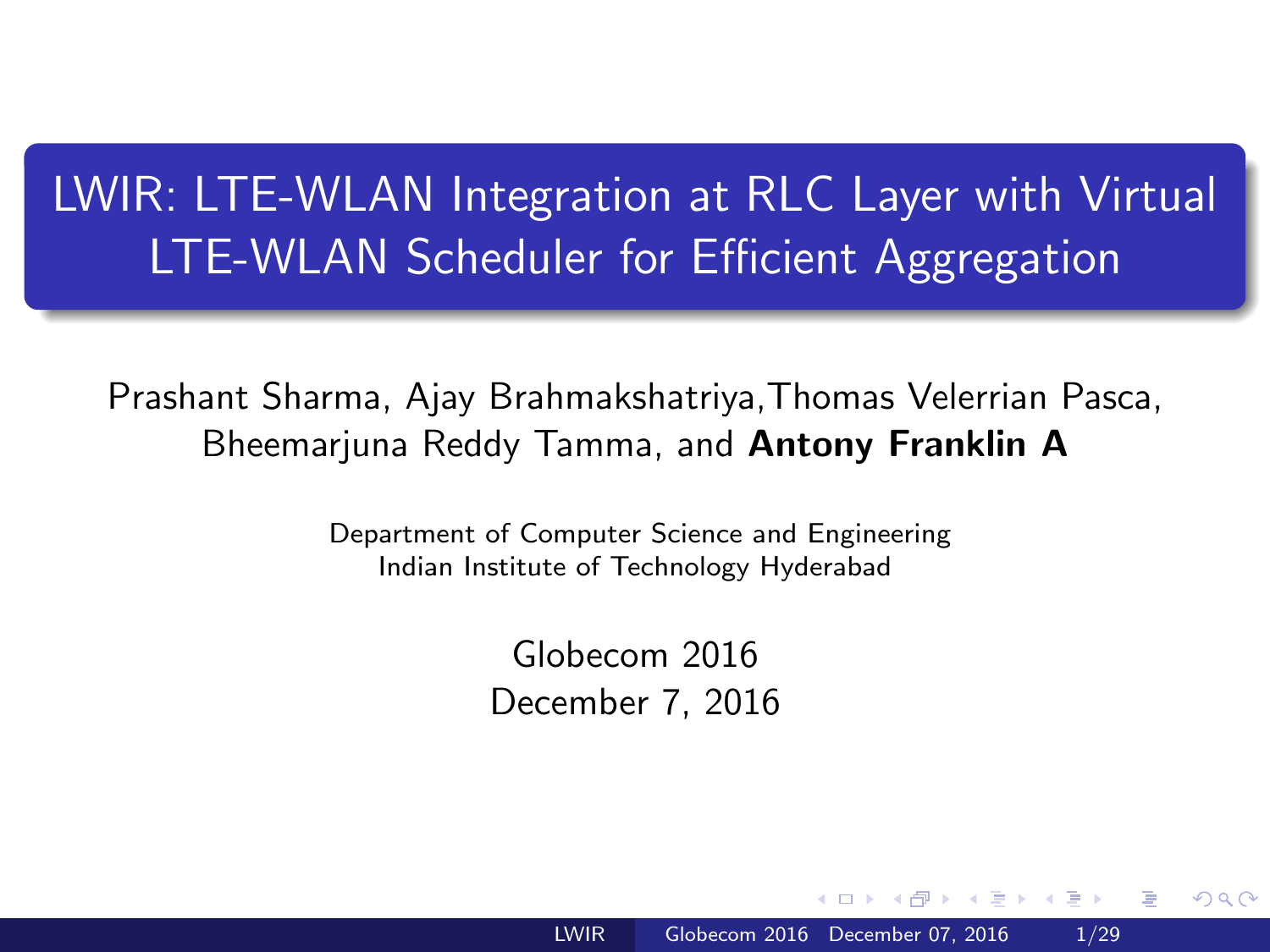# <span id="page-0-0"></span>LWIR: LTE-WLAN Integration at RLC Layer with Virtual LTE-WLAN Scheduler for Efficient Aggregation

Prashant Sharma, Ajay Brahmakshatriya,Thomas Velerrian Pasca, Bheemarjuna Reddy Tamma, and Antony Franklin A

> Department of Computer Science and Engineering Indian Institute of Technology Hyderabad

> > Globecom 2016 December 7, 2016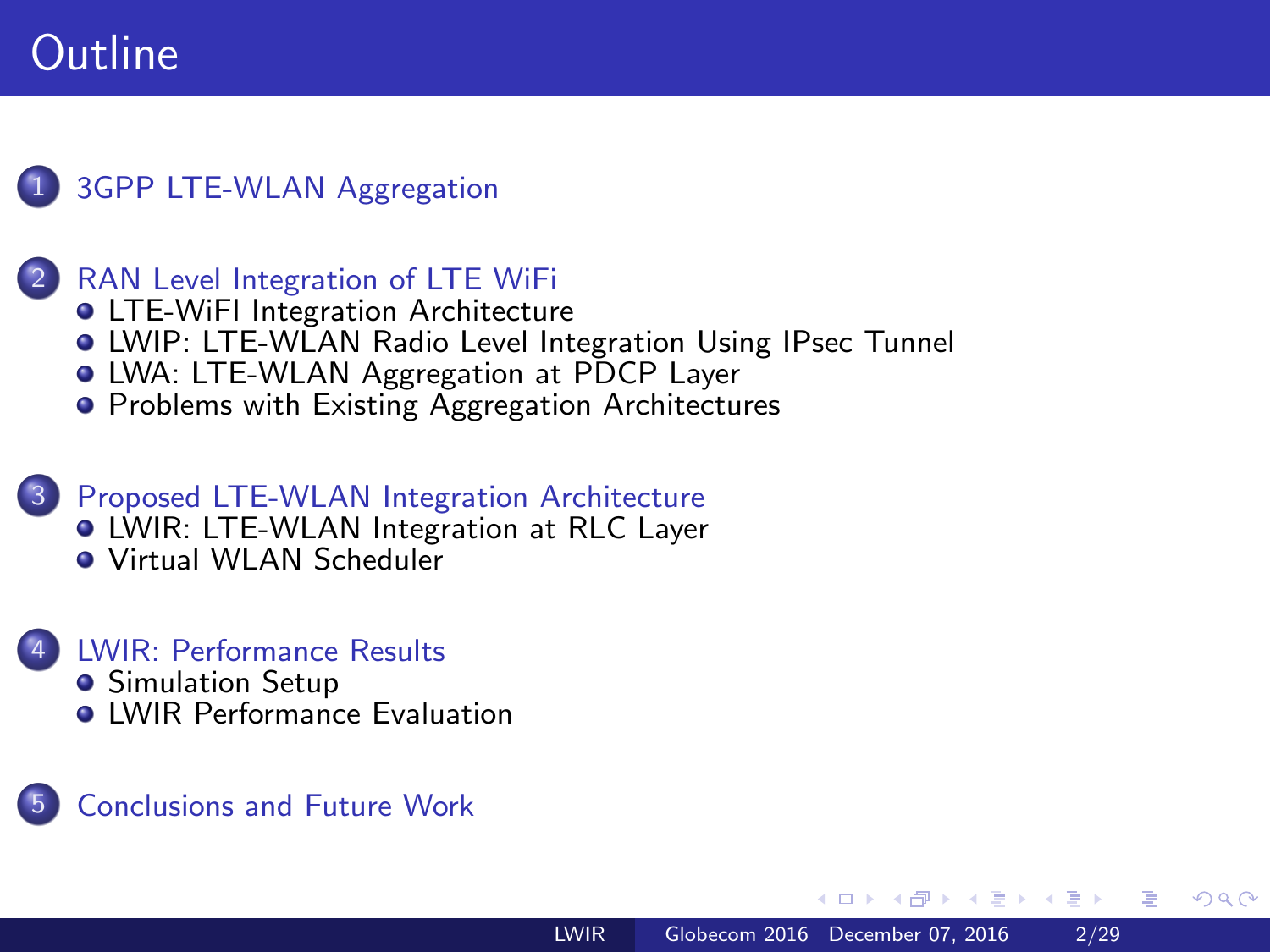### [3GPP LTE-WLAN Aggregation](#page-2-0)

### **[RAN Level Integration of LTE WiFi](#page-3-0)**

- **[LTE-WiFI Integration Architecture](#page-3-0)**
- [LWIP: LTE-WLAN Radio Level Integration Using IPsec Tunnel](#page-6-0)
- [LWA: LTE-WLAN Aggregation at PDCP Layer](#page-8-0)
- **[Problems with Existing Aggregation Architectures](#page-11-0)**

#### [Proposed LTE-WLAN Integration Architecture](#page-13-0) **.** [LWIR: LTE-WLAN Integration at RLC Layer](#page-13-0) [Virtual WLAN Scheduler](#page-17-0)

#### **[LWIR: Performance Results](#page-19-0) • [Simulation Setup](#page-19-0) O** [LWIR Performance Evaluation](#page-22-0)

### 5 [Conclusions and Future Work](#page-27-0)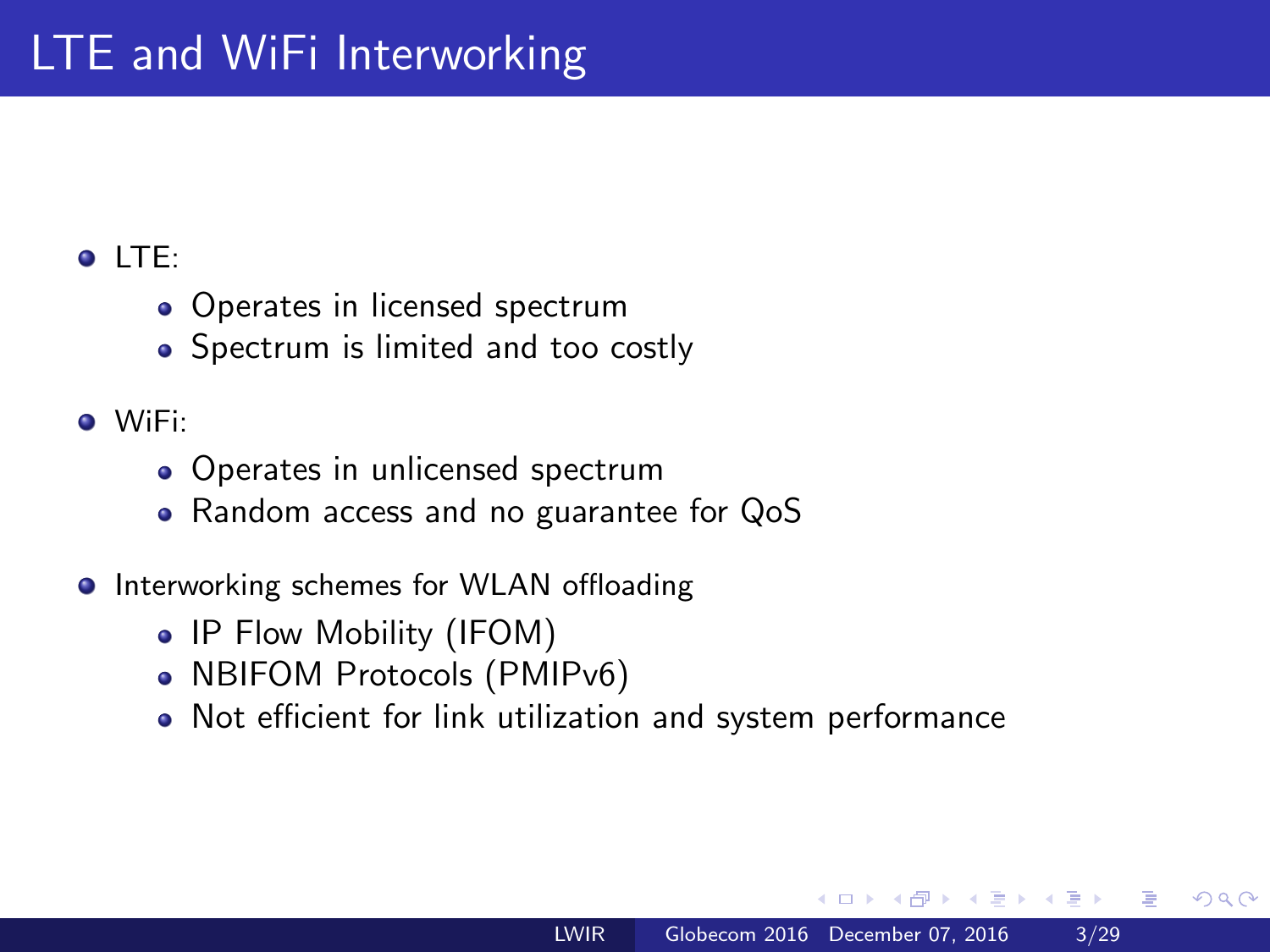### <span id="page-2-0"></span> $\bullet$  LTF:

- Operates in licensed spectrum
- Spectrum is limited and too costly

### WiFi:

- Operates in unlicensed spectrum
- Random access and no guarantee for QoS
- **•** Interworking schemes for WLAN offloading
	- IP Flow Mobility (IFOM)
	- NBIFOM Protocols (PMIPv6)
	- Not efficient for link utilization and system performance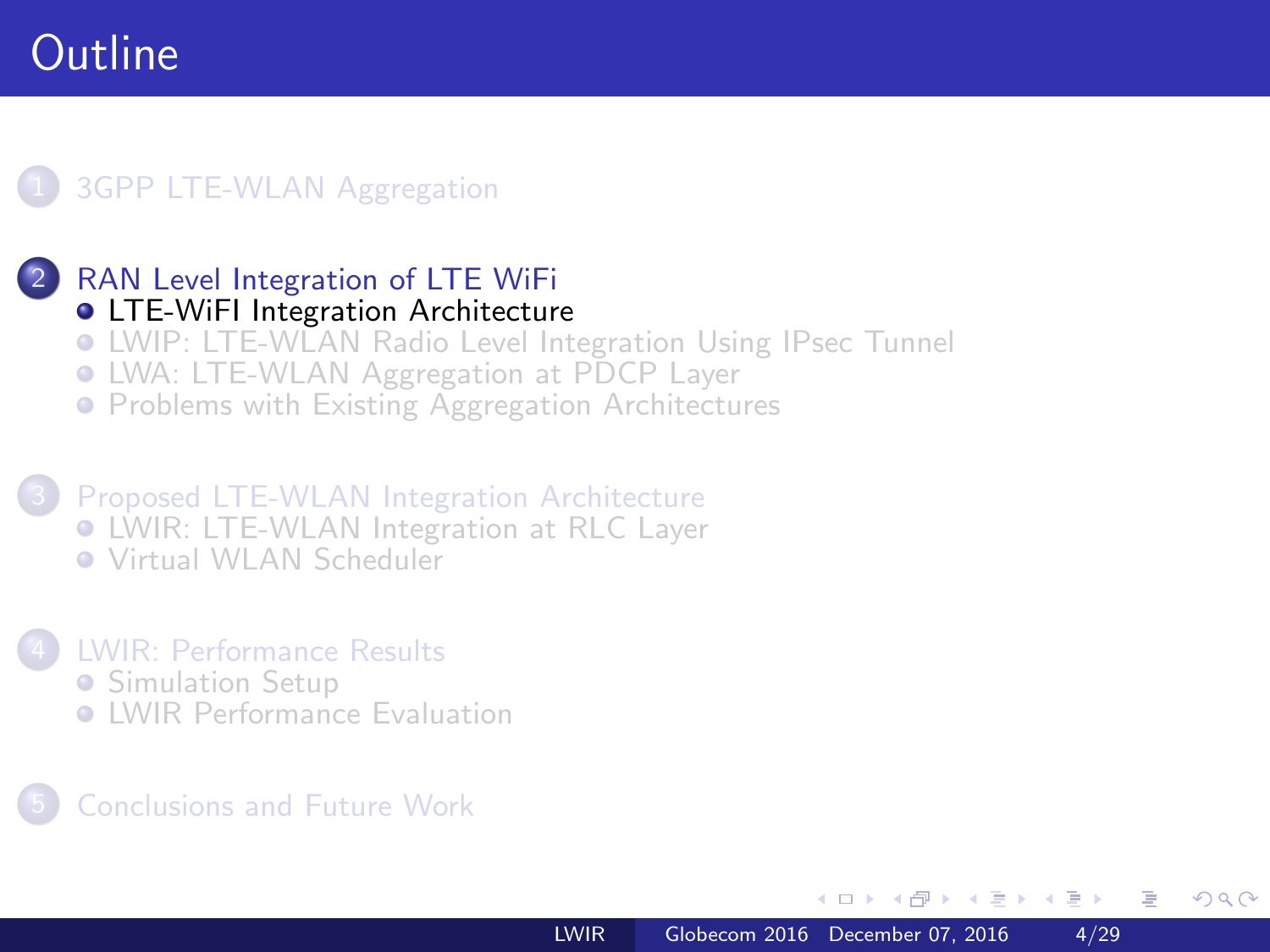### <span id="page-3-0"></span>**[3GPP LTE-WLAN Aggregation](#page-2-0)**

### [RAN Level Integration of LTE WiFi](#page-3-0)

- **[LTE-WiFI Integration Architecture](#page-3-0)**
- [LWIP: LTE-WLAN Radio Level Integration Using IPsec Tunnel](#page-6-0)
- [LWA: LTE-WLAN Aggregation at PDCP Layer](#page-8-0)
- **[Problems with Existing Aggregation Architectures](#page-11-0)**

3 [Proposed LTE-WLAN Integration Architecture](#page-13-0) [LWIR: LTE-WLAN Integration at RLC Layer](#page-13-0) [Virtual WLAN Scheduler](#page-17-0)

### 4 [LWIR: Performance Results](#page-19-0)

- **[Simulation Setup](#page-19-0)**
- **C** [LWIR Performance Evaluation](#page-22-0)

### 5 [Conclusions and Future Work](#page-27-0)

 $\overline{a}$   $\overline{m}$   $\overline{m}$ 

 $x = x$ 

重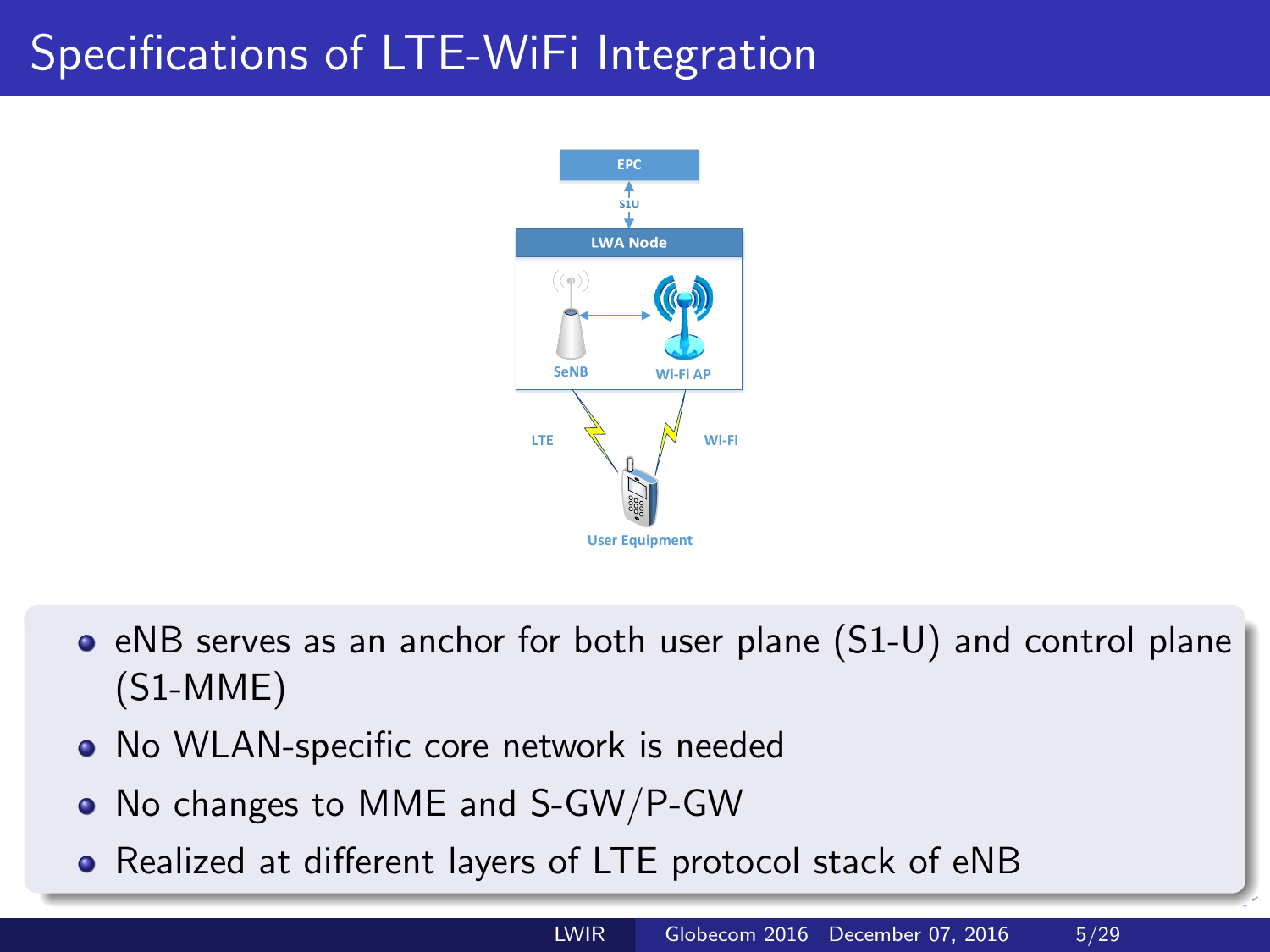# <span id="page-4-0"></span>Specifications of LTE-WiFi Integration



- $\bullet$  eNB serves as an anchor for both user plane  $(S1-U)$  and control plane (S1-MME)
- No WLAN-specific core network is needed
- No changes to MME and S-GW/P-GW
- Realized at different layers of LTE protocol [st](#page-3-0)[ac](#page-5-0)[k](#page-3-0) [of](#page-4-0)[e](#page-2-0)[N](#page-3-0)[B](#page-5-0)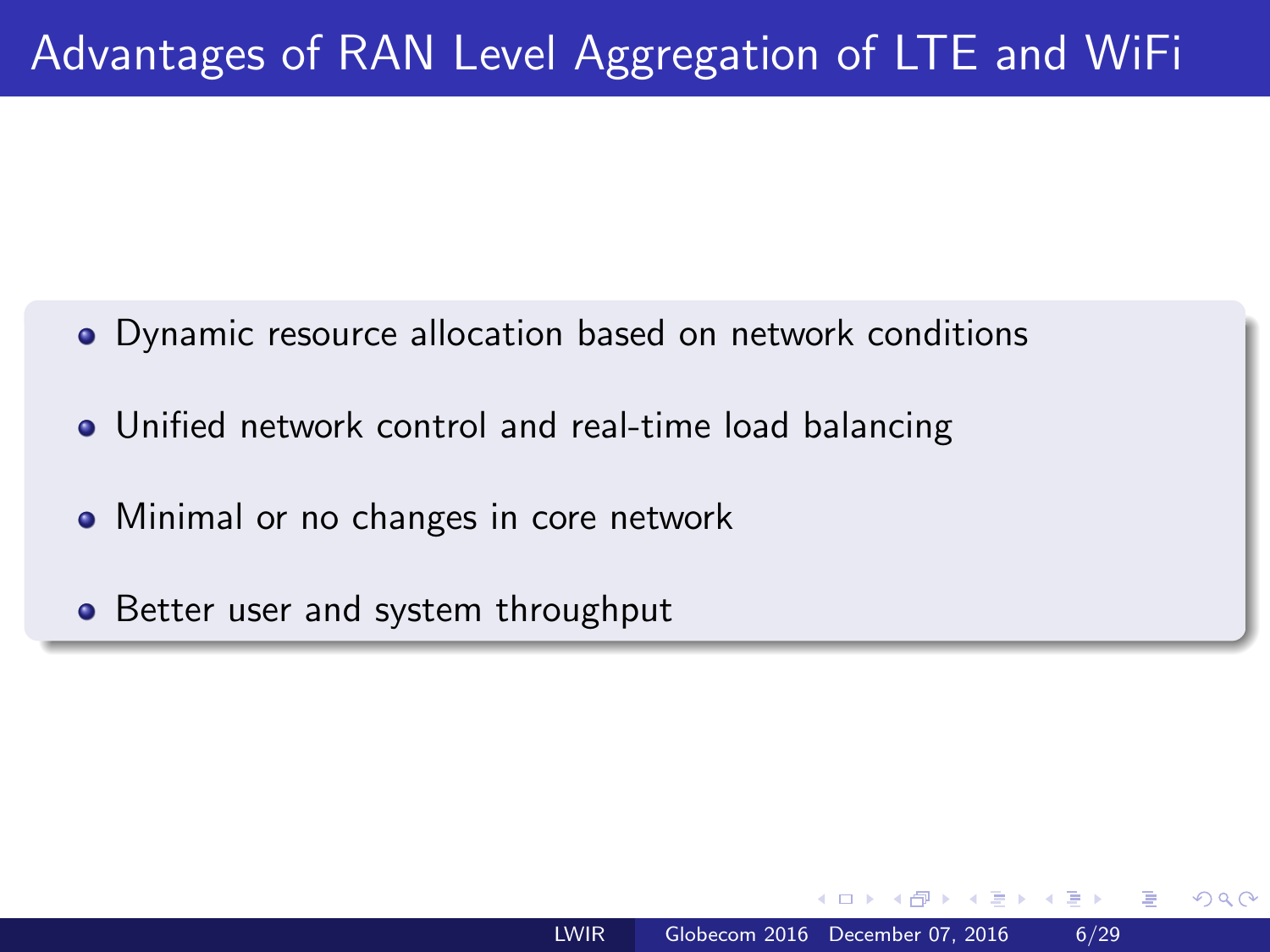# <span id="page-5-0"></span>Advantages of RAN Level Aggregation of LTE and WiFi

- Dynamic resource allocation based on network conditions
- Unified network control and real-time load balancing
- Minimal or no changes in core network
- Better user and system throughput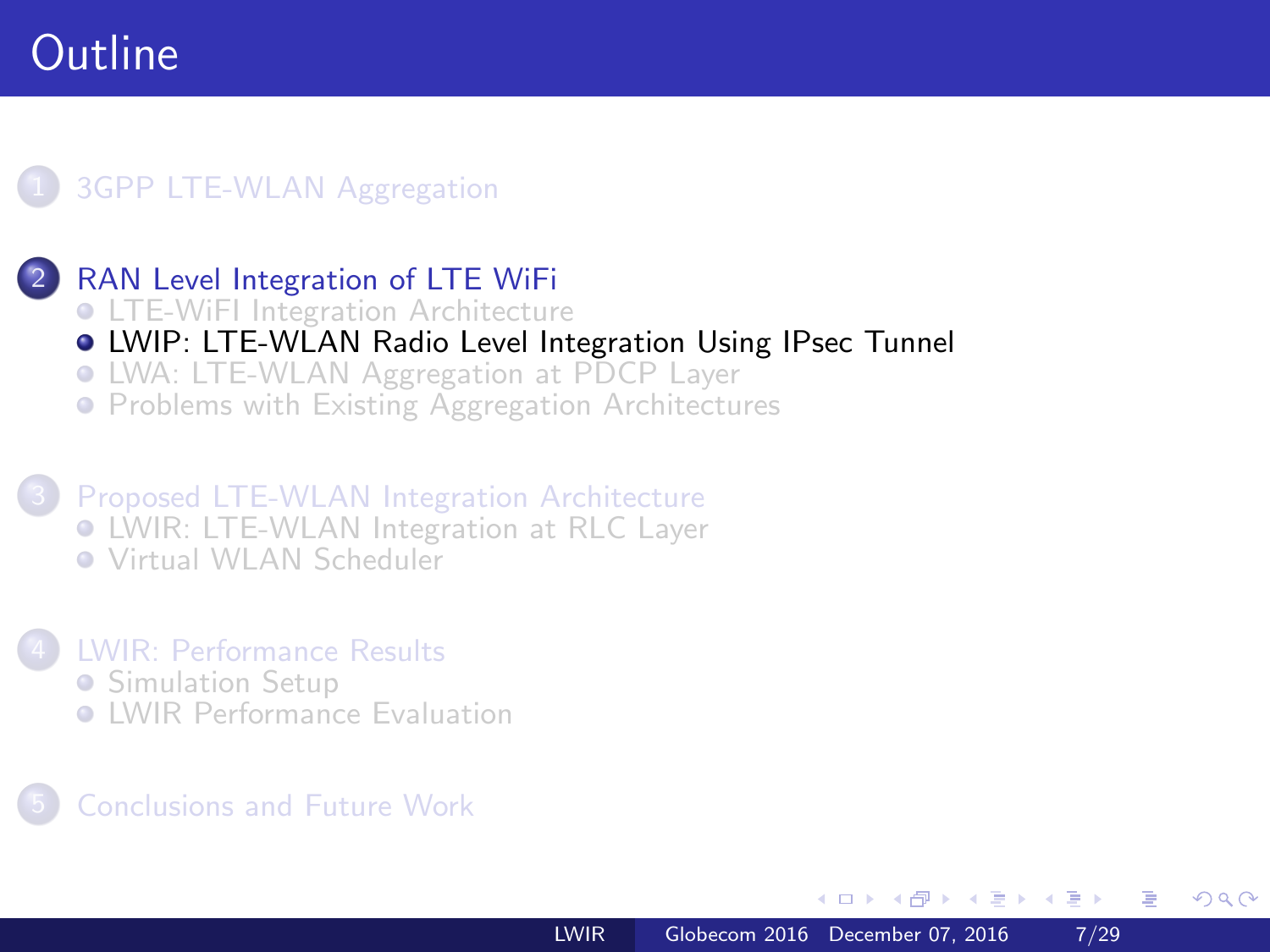### <span id="page-6-0"></span>**[3GPP LTE-WLAN Aggregation](#page-2-0)**

- [RAN Level Integration of LTE WiFi](#page-3-0)
- **[LTE-WiFI Integration Architecture](#page-3-0)**
- [LWIP: LTE-WLAN Radio Level Integration Using IPsec Tunnel](#page-6-0)
- [LWA: LTE-WLAN Aggregation at PDCP Layer](#page-8-0)
- **[Problems with Existing Aggregation Architectures](#page-11-0)**

3 [Proposed LTE-WLAN Integration Architecture](#page-13-0) [LWIR: LTE-WLAN Integration at RLC Layer](#page-13-0) [Virtual WLAN Scheduler](#page-17-0)

#### 4 [LWIR: Performance Results](#page-19-0) **• [Simulation Setup](#page-19-0)**

**C** [LWIR Performance Evaluation](#page-22-0)

### 5 [Conclusions and Future Work](#page-27-0)

 $\overline{a}$   $\overline{m}$   $\overline{m}$ 

**ALCOHOL:** 

重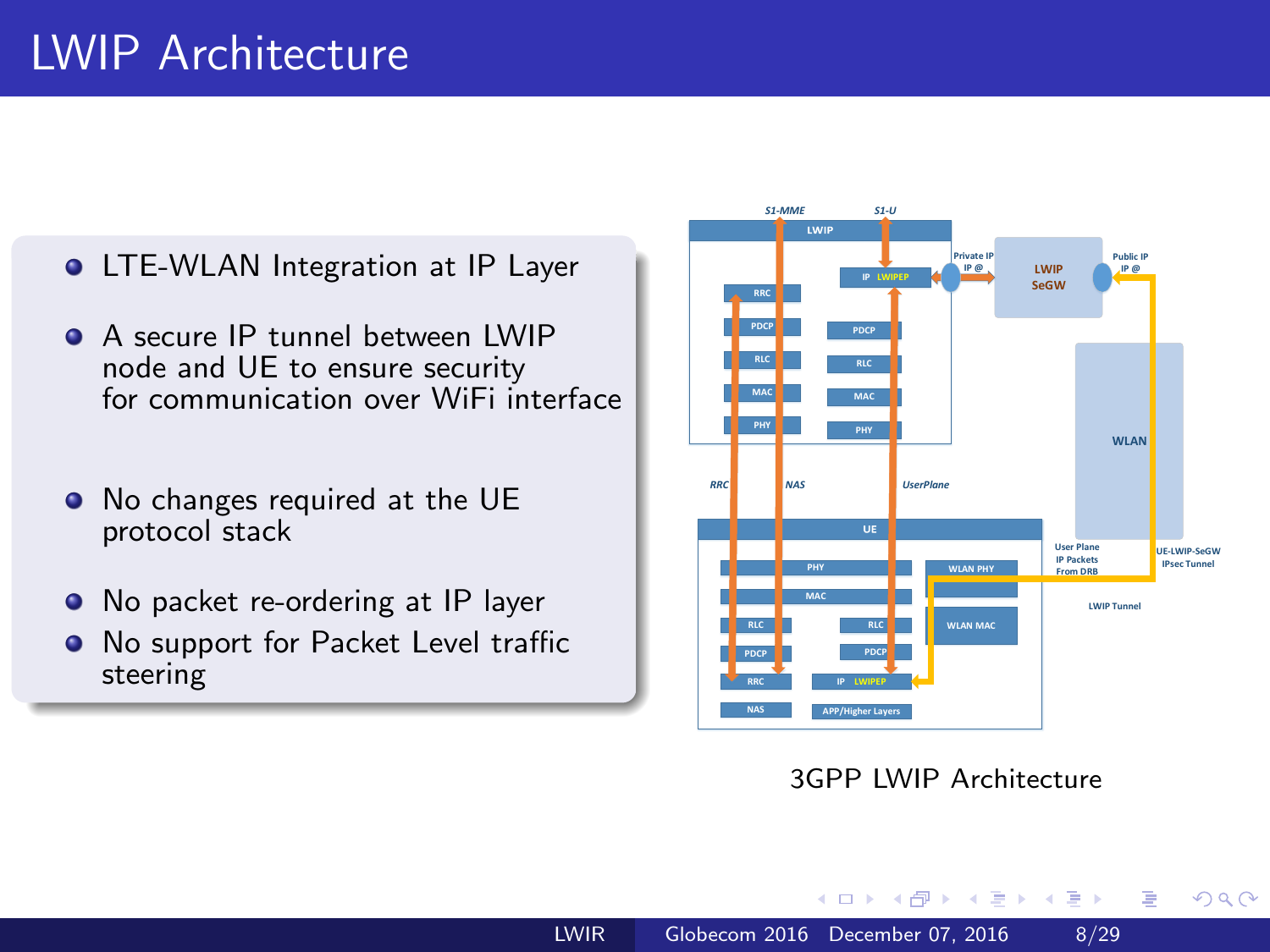# LWIP Architecture

- **LTE-WLAN Integration at IP Layer**
- A secure IP tunnel between LWIP node and UE to ensure security for communication over WiFi interface
- $\bullet$  No changes required at the UE protocol stack
- No packet re-ordering at IP layer
- No support for Packet Level traffic steering



3GPP LWIP Architecture

→ 母→

 $\prec$ 

 $\equiv$ 

э **B**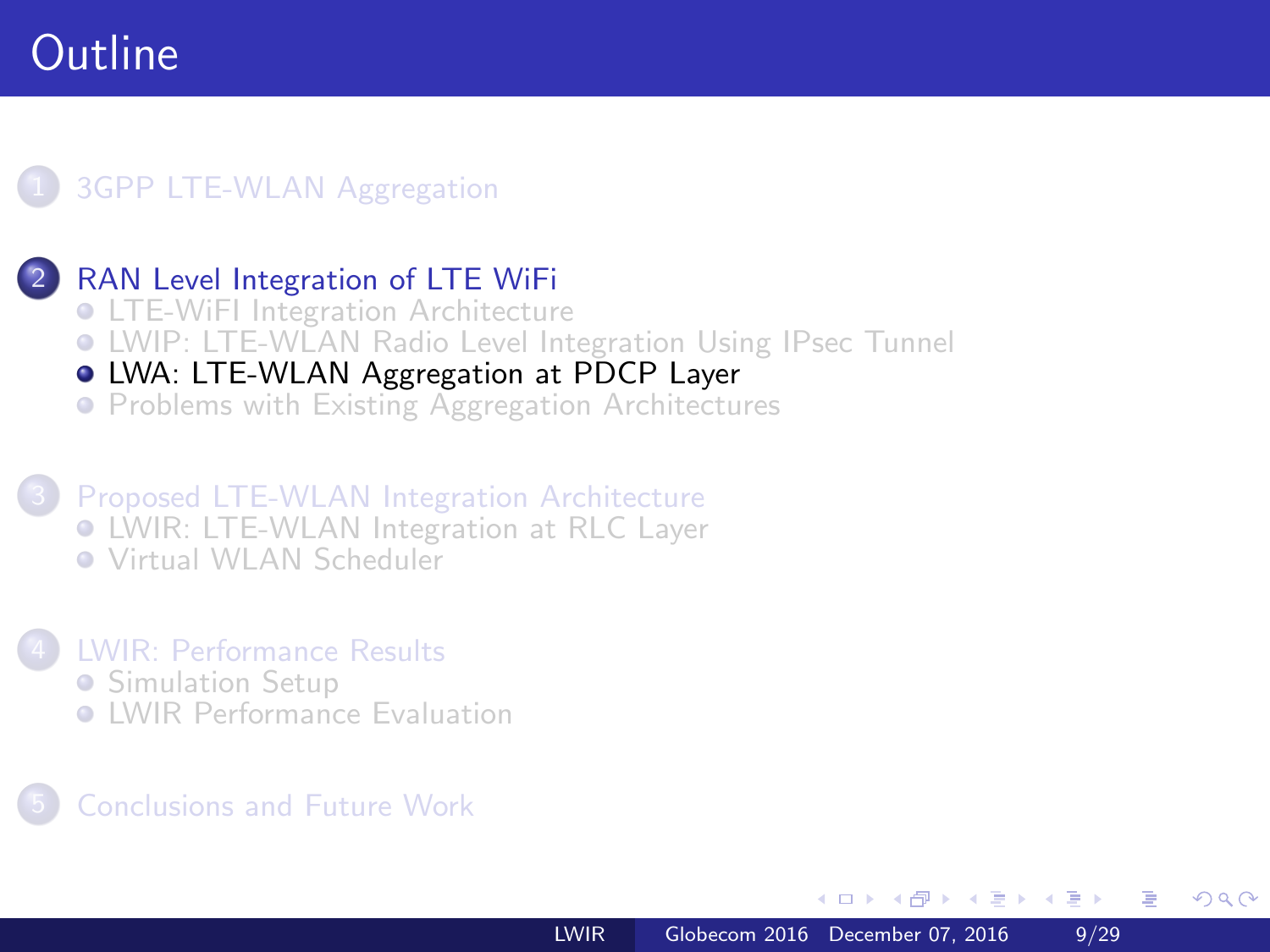### <span id="page-8-0"></span>**[3GPP LTE-WLAN Aggregation](#page-2-0)**

### [RAN Level Integration of LTE WiFi](#page-3-0)

- **[LTE-WiFI Integration Architecture](#page-3-0)**
- [LWIP: LTE-WLAN Radio Level Integration Using IPsec Tunnel](#page-6-0)
- [LWA: LTE-WLAN Aggregation at PDCP Layer](#page-8-0)
- **[Problems with Existing Aggregation Architectures](#page-11-0)**

3 [Proposed LTE-WLAN Integration Architecture](#page-13-0) [LWIR: LTE-WLAN Integration at RLC Layer](#page-13-0) [Virtual WLAN Scheduler](#page-17-0)

### 4 [LWIR: Performance Results](#page-19-0) **• [Simulation Setup](#page-19-0)**

**C** [LWIR Performance Evaluation](#page-22-0)

### 5 [Conclusions and Future Work](#page-27-0)

 $\overline{a}$   $\overline{m}$   $\overline{m}$ 

 $x = x$ 一心語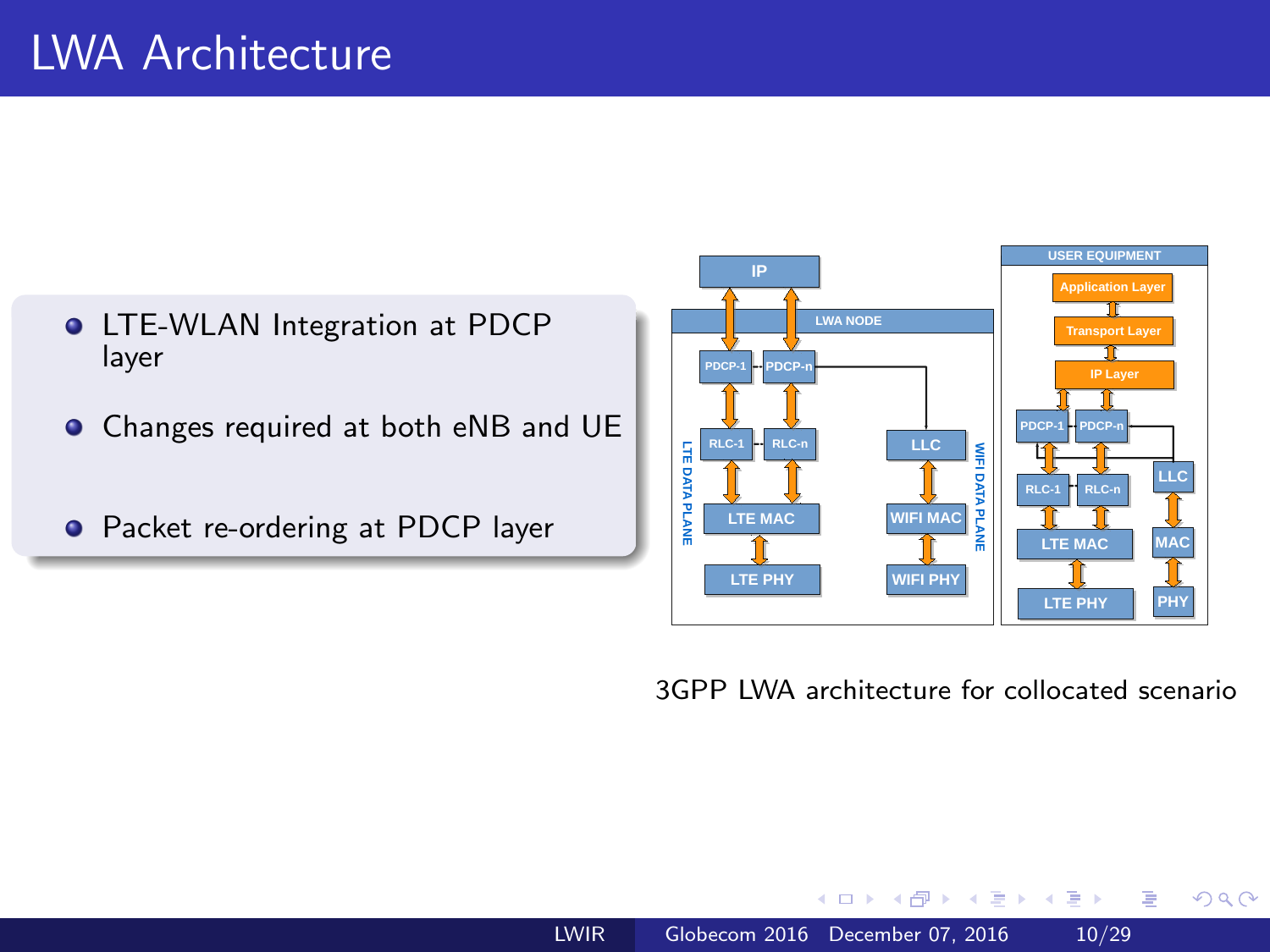- **O** LTE-WLAN Integration at PDCP layer
- Changes required at both eNB and UE
- **•** Packet re-ordering at PDCP layer



3GPP LWA architecture for collocated scenario

 $QQ$ 

э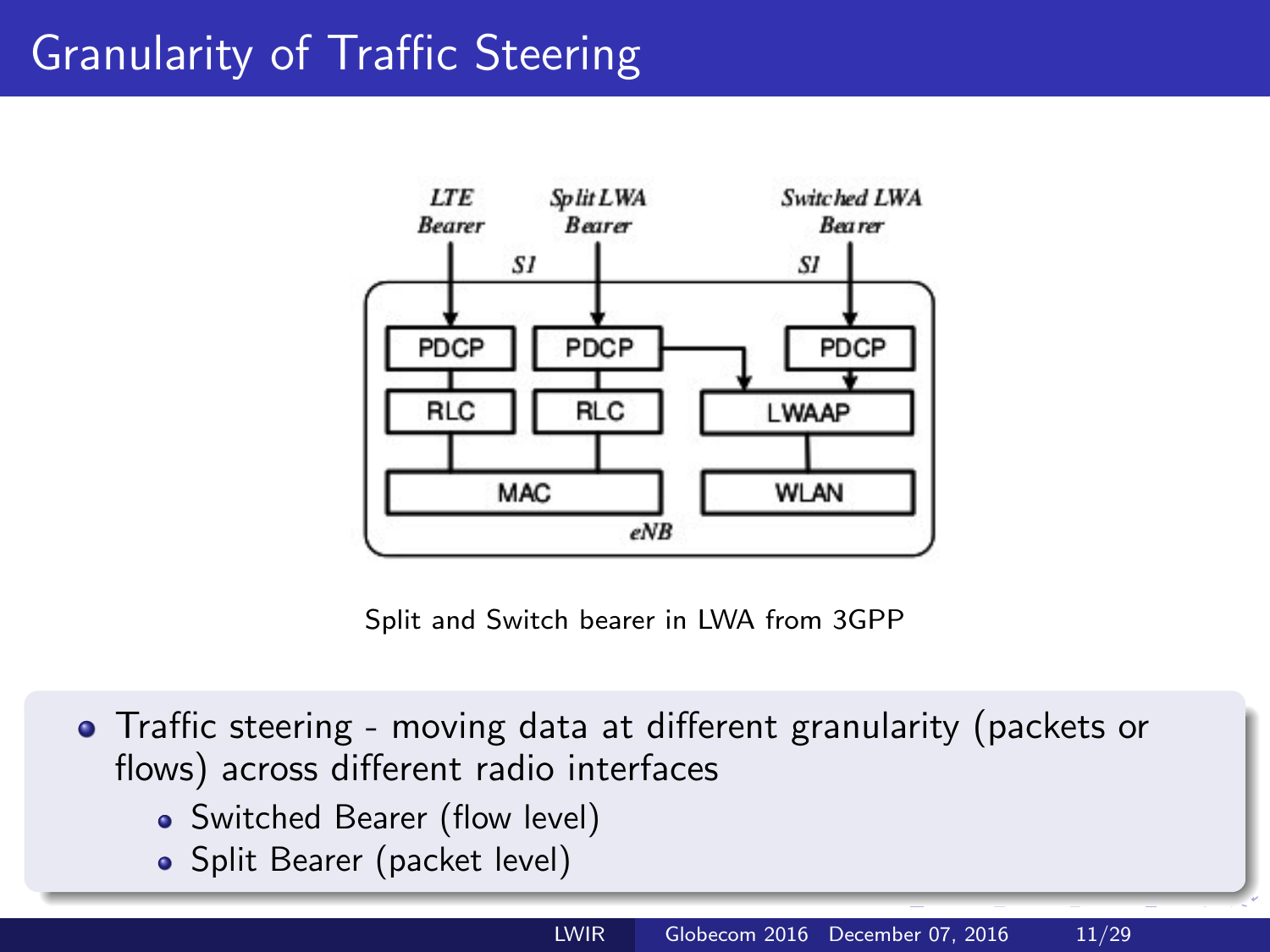# <span id="page-10-0"></span>Granularity of Traffic Steering



Split and Switch bearer in LWA from 3GPP

- Traffic steering moving data at different granularity (packets or flows) across different radio interfaces
	- Switched Bearer (flow level)
	- Split Bearer (packet level)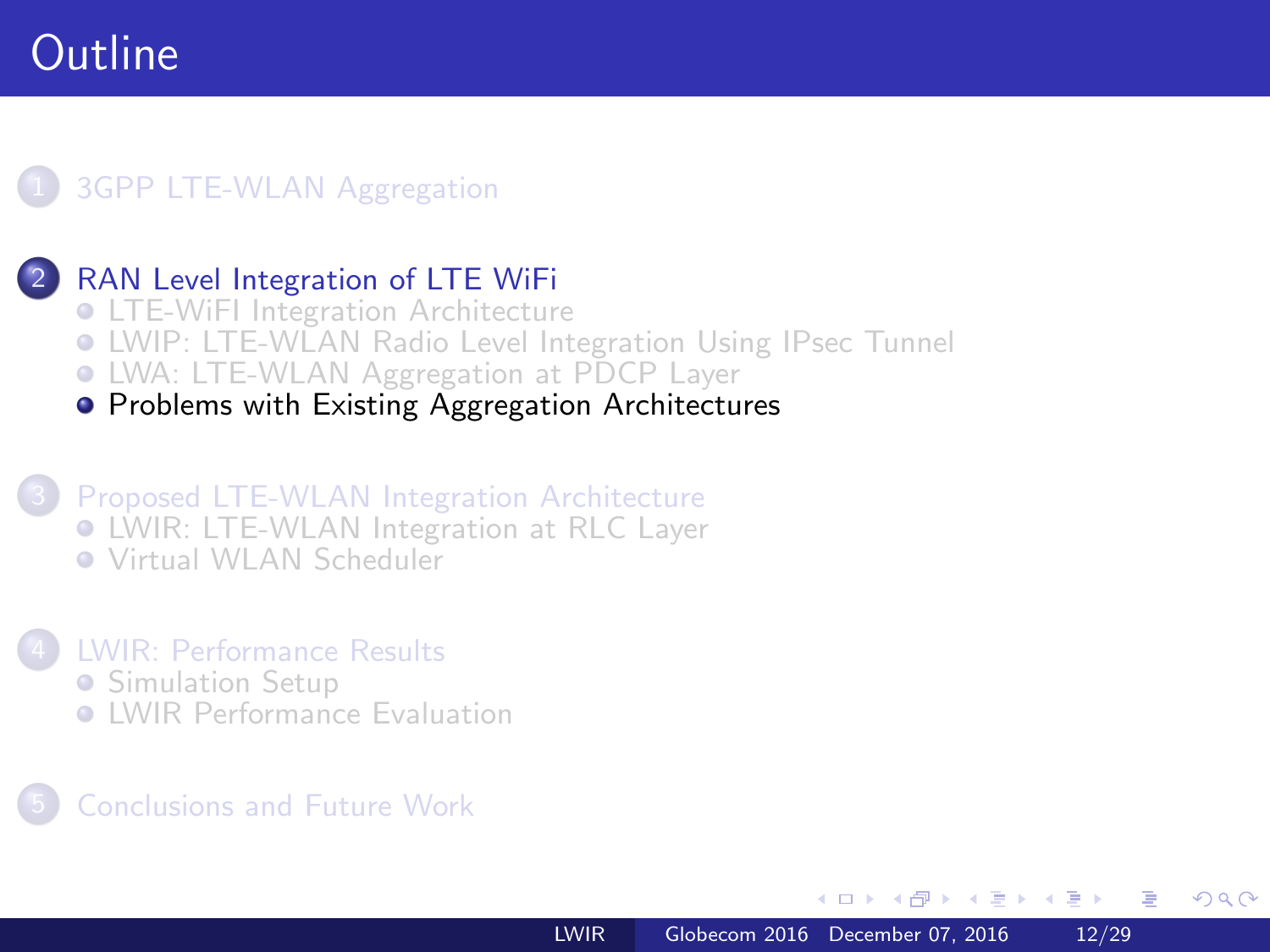### <span id="page-11-0"></span>**[3GPP LTE-WLAN Aggregation](#page-2-0)**

### [RAN Level Integration of LTE WiFi](#page-3-0)

- **[LTE-WiFI Integration Architecture](#page-3-0)**
- [LWIP: LTE-WLAN Radio Level Integration Using IPsec Tunnel](#page-6-0)
- [LWA: LTE-WLAN Aggregation at PDCP Layer](#page-8-0)
- **[Problems with Existing Aggregation Architectures](#page-11-0)**

#### 3 [Proposed LTE-WLAN Integration Architecture](#page-13-0) [LWIR: LTE-WLAN Integration at RLC Layer](#page-13-0) [Virtual WLAN Scheduler](#page-17-0)

#### 4 [LWIR: Performance Results](#page-19-0)

- **[Simulation Setup](#page-19-0)**
- **C** [LWIR Performance Evaluation](#page-22-0)

### 5 [Conclusions and Future Work](#page-27-0)

 $\overline{AB}$ 

- 4 重 8 3 4 重 8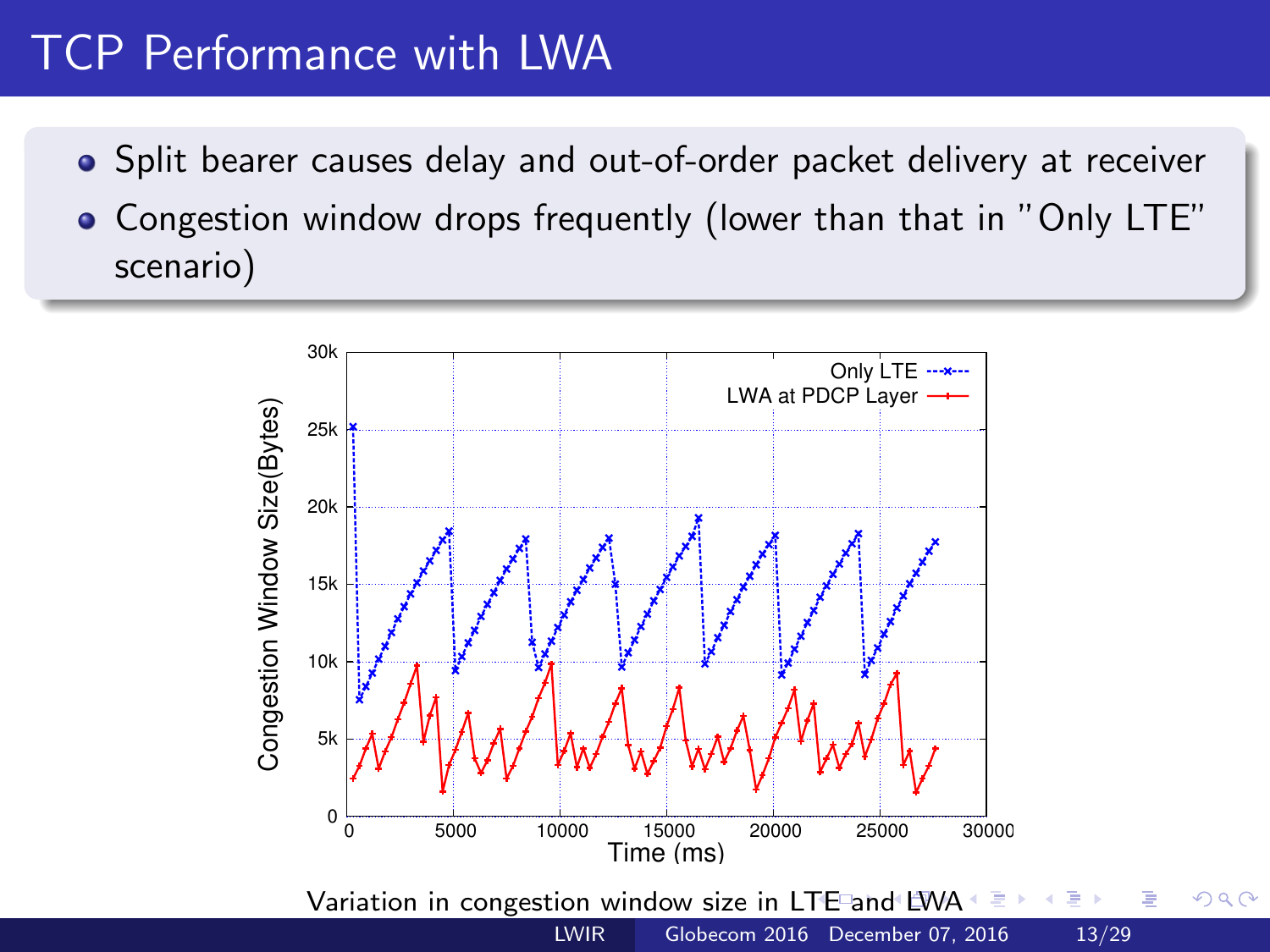# <span id="page-12-0"></span>TCP Performance with LWA

- Split bearer causes delay and out-of-order packet delivery at receiver
- Congestion window drops frequently (lower than that in "Only LTE" scenario)

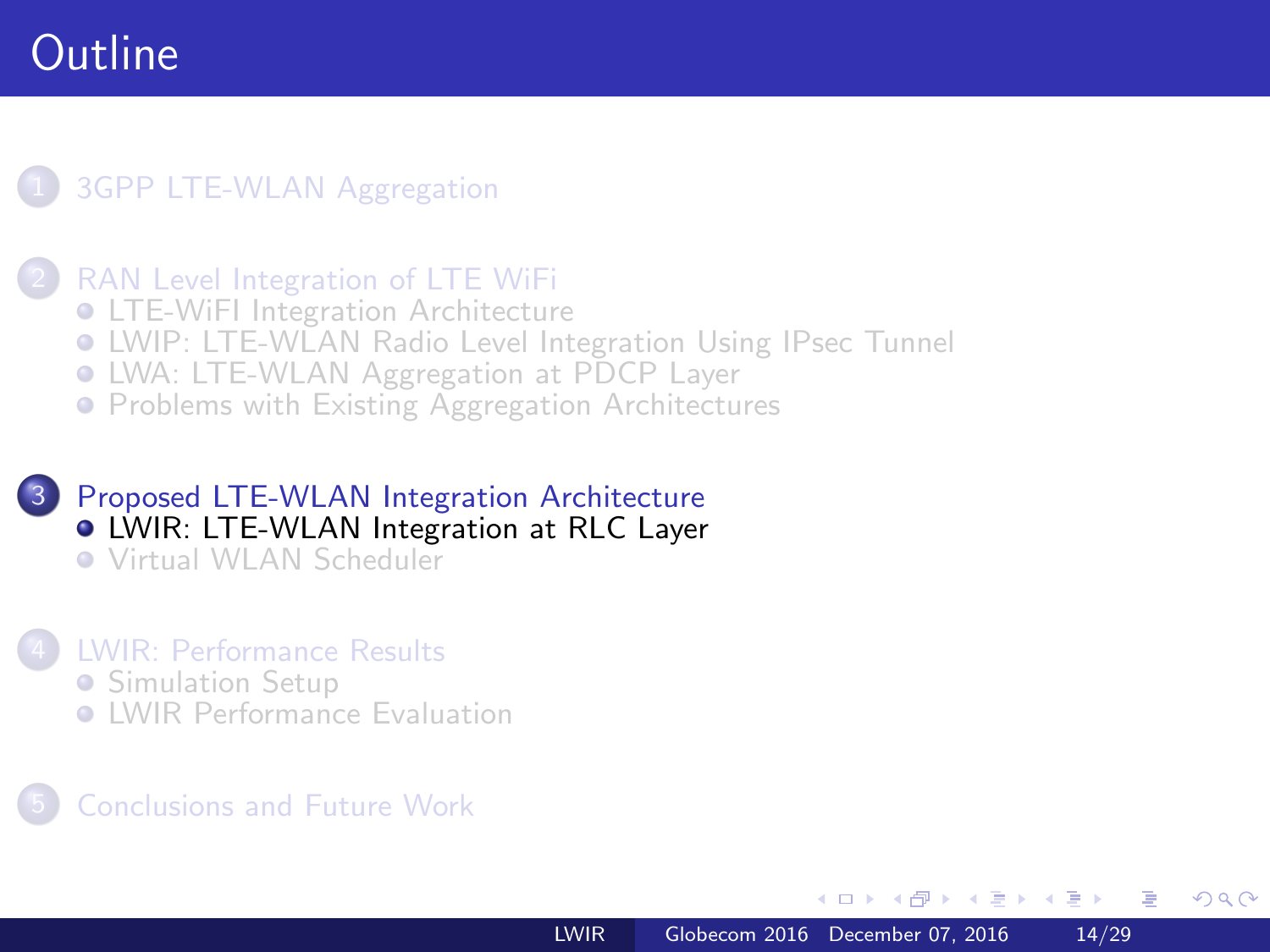### <span id="page-13-0"></span>**[3GPP LTE-WLAN Aggregation](#page-2-0)**

#### [RAN Level Integration of LTE WiFi](#page-3-0)

- **[LTE-WiFI Integration Architecture](#page-3-0)**
- [LWIP: LTE-WLAN Radio Level Integration Using IPsec Tunnel](#page-6-0)
- [LWA: LTE-WLAN Aggregation at PDCP Layer](#page-8-0)
- **[Problems with Existing Aggregation Architectures](#page-11-0)**

#### 3 [Proposed LTE-WLAN Integration Architecture](#page-13-0) [LWIR: LTE-WLAN Integration at RLC Layer](#page-13-0) [Virtual WLAN Scheduler](#page-17-0)

#### 4 [LWIR: Performance Results](#page-19-0)

- **[Simulation Setup](#page-19-0)**
- **C** [LWIR Performance Evaluation](#page-22-0)

### 5 [Conclusions and Future Work](#page-27-0)

 $\overline{a}$   $\overline{m}$   $\overline{m}$ 

 $x = x$ 一本語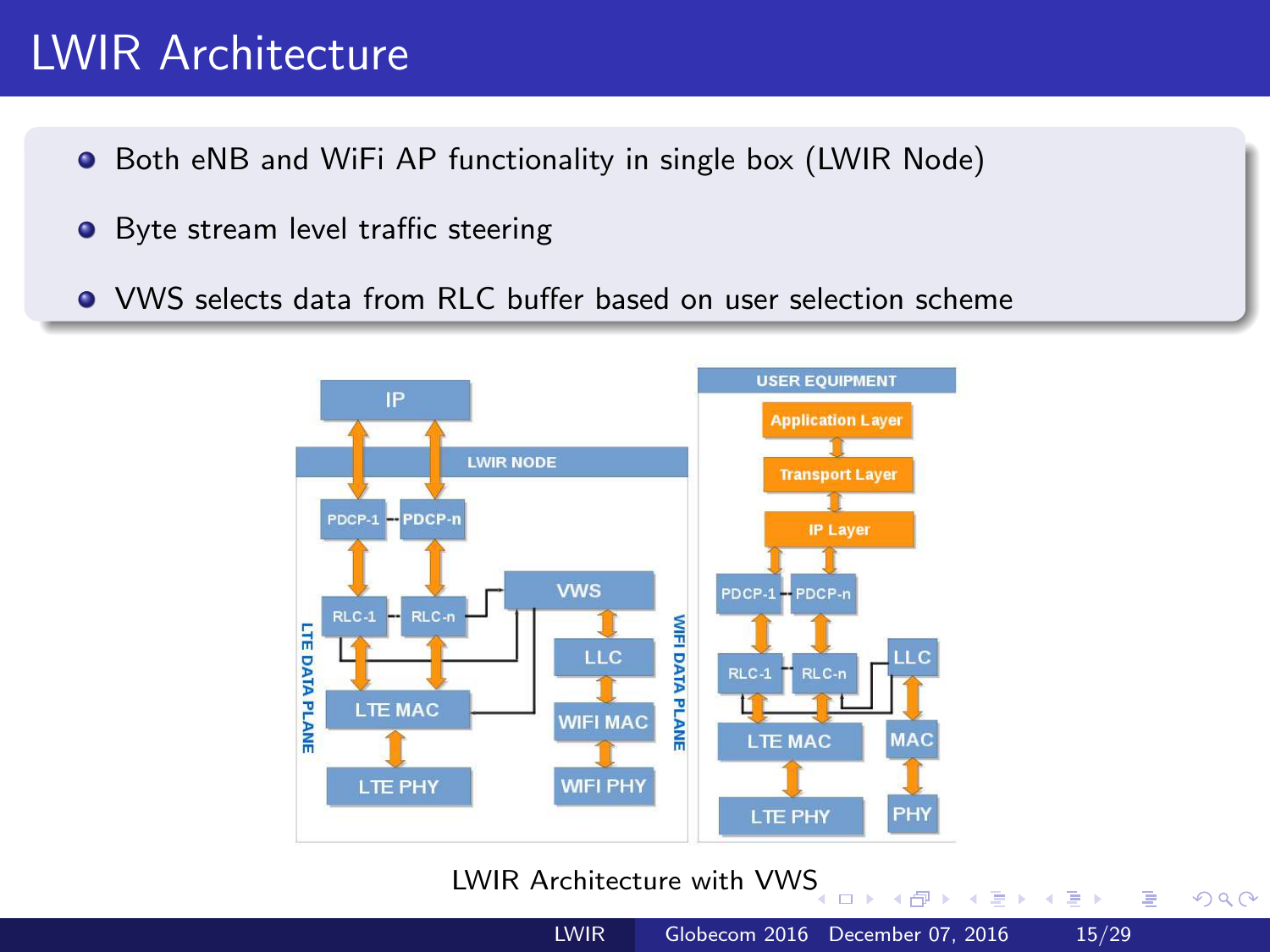# LWIR Architecture

- **•** Both eNB and WiFi AP functionality in single box (LWIR Node)
- Byte stream level traffic steering
- VWS selects data from RLC buffer based on user selection scheme



#### LWIR Architecture with VW[S](#page-13-0)

 $\Box$ 

 $QQ$ 

э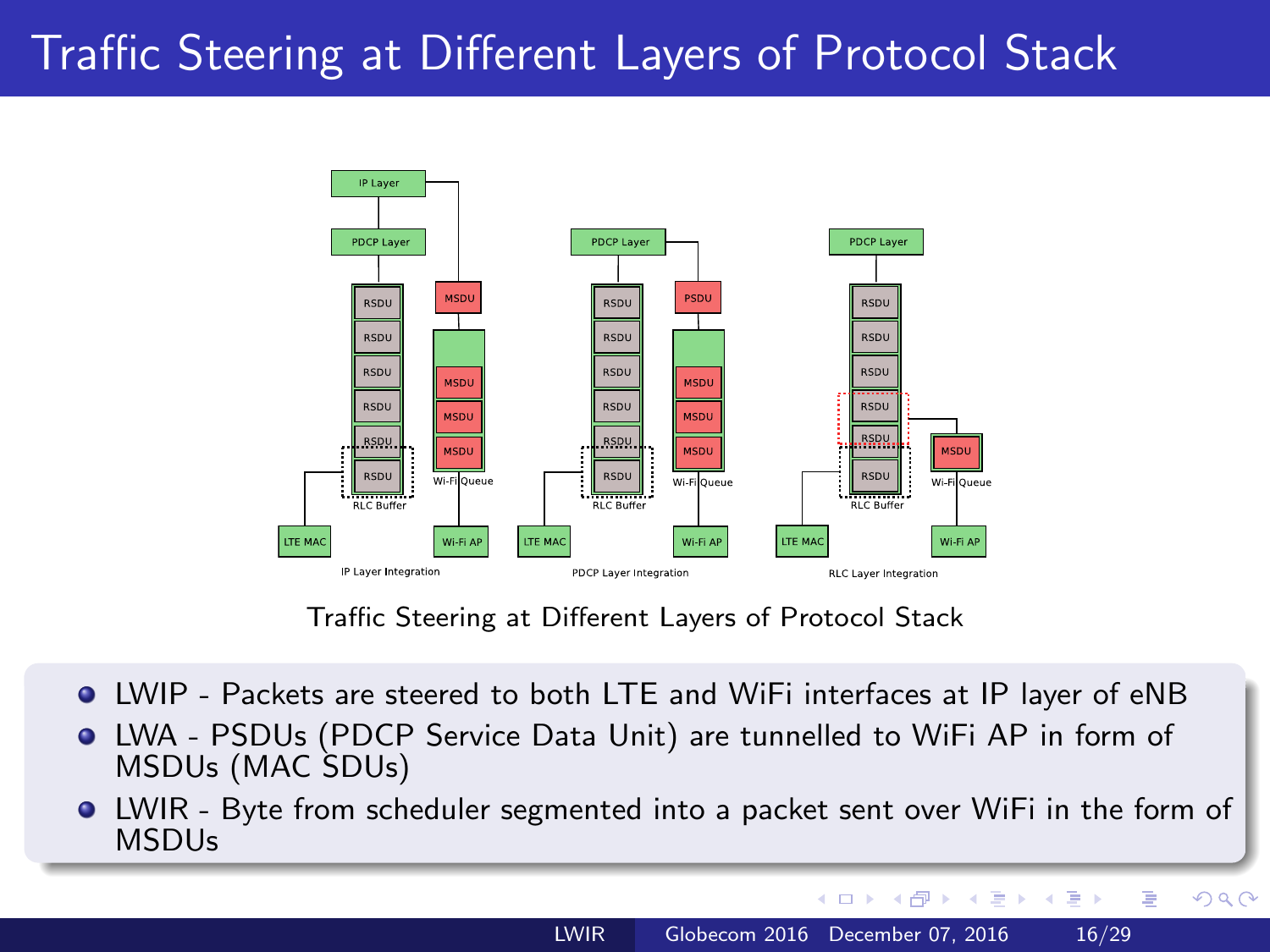# Traffic Steering at Different Layers of Protocol Stack



Traffic Steering at Different Layers of Protocol Stack

- LWIP Packets are steered to both LTE and WiFi interfaces at IP layer of eNB
- LWA PSDUs (PDCP Service Data Unit) are tunnelled to WiFi AP in form of MSDUs (MAC SDUs)
- LWIR Byte from scheduler segmented into a packet sent over WiFi in the form of MSDUs

 $\overline{AB}$ 

 $\sim$   $\sim$ 

 $\mathbf{y} \rightarrow \mathbf{z}$  . If  $\mathbf{y} \rightarrow \mathbf{z}$ 

E.

 $QQ$ 

曲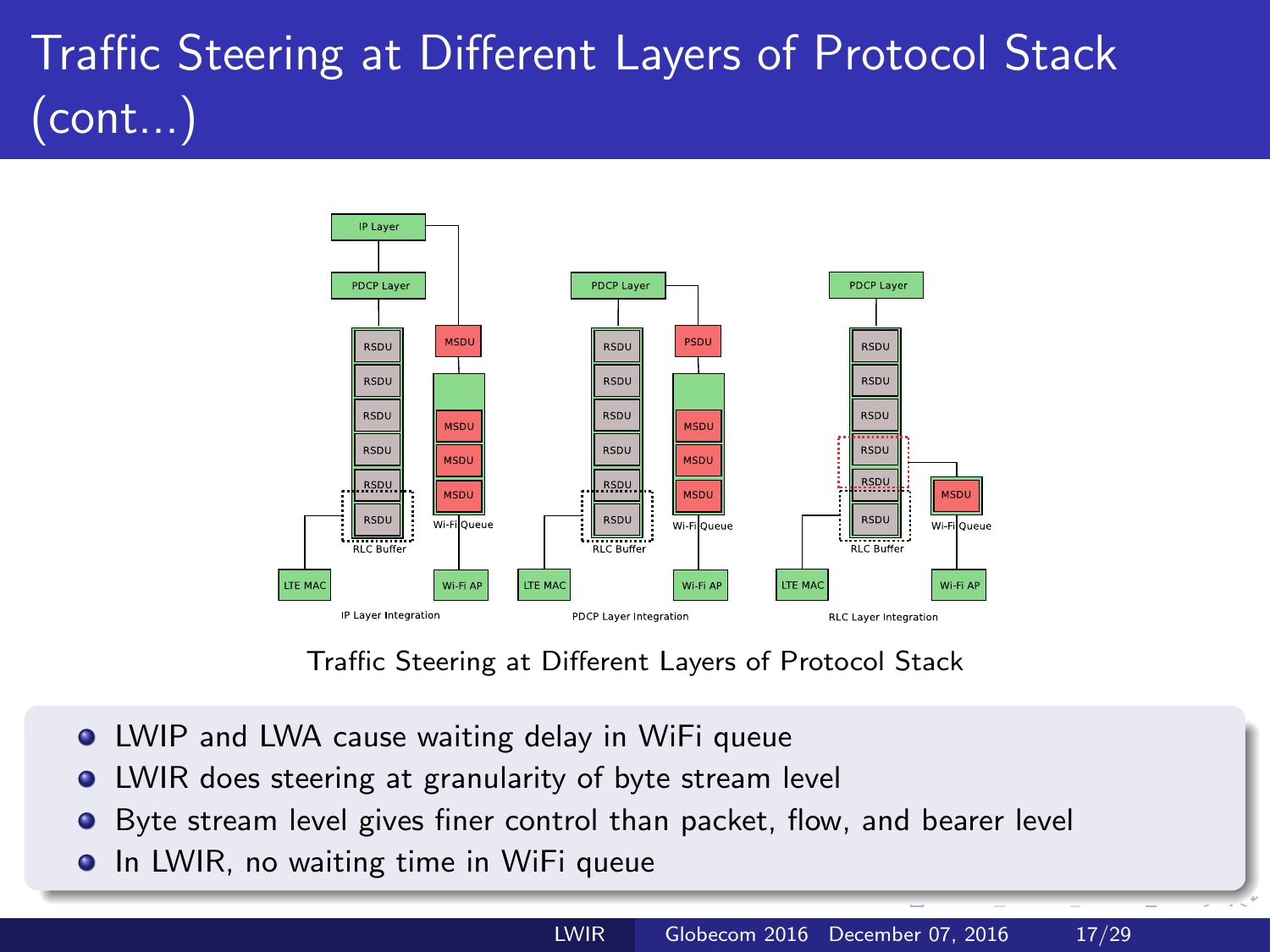# Traffic Steering at Different Layers of Protocol Stack (cont...)



Traffic Steering at Different Layers of Protocol Stack

- LWIP and LWA cause waiting delay in WiFi queue
- LWIR does steering at granularity of byte stream level  $\bullet$
- Byte stream level gives finer control than packet, flow, and bearer level  $\bullet$
- **•** In LWIR, no waiting time in WiFi queue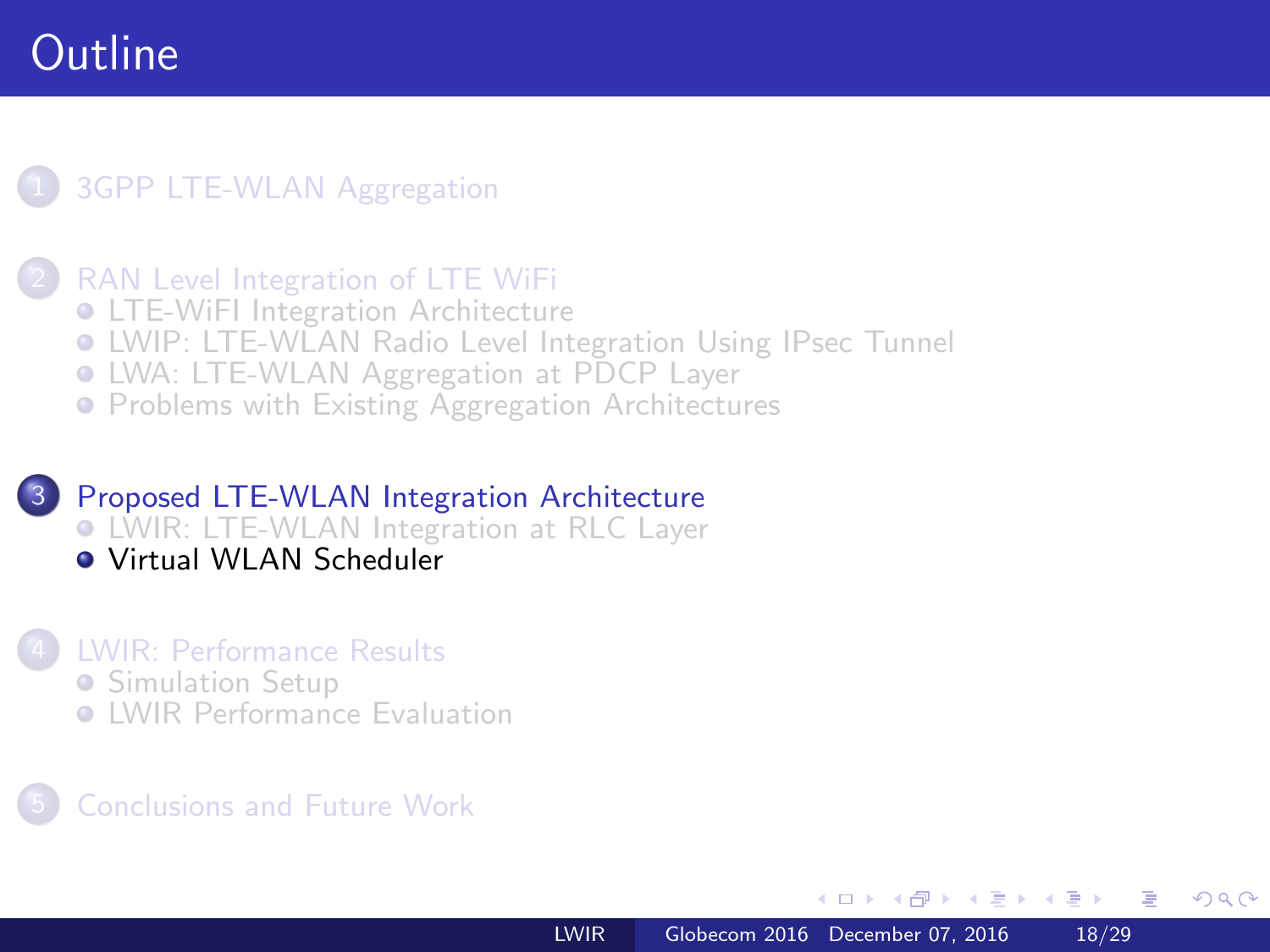### <span id="page-17-0"></span>**[3GPP LTE-WLAN Aggregation](#page-2-0)**

#### [RAN Level Integration of LTE WiFi](#page-3-0)

- **[LTE-WiFI Integration Architecture](#page-3-0)**
- [LWIP: LTE-WLAN Radio Level Integration Using IPsec Tunnel](#page-6-0)
- [LWA: LTE-WLAN Aggregation at PDCP Layer](#page-8-0)
- **[Problems with Existing Aggregation Architectures](#page-11-0)**

### 3 [Proposed LTE-WLAN Integration Architecture](#page-13-0) [LWIR: LTE-WLAN Integration at RLC Layer](#page-13-0)

[Virtual WLAN Scheduler](#page-17-0)

#### 4 [LWIR: Performance Results](#page-19-0)

- **[Simulation Setup](#page-19-0)**
- **C** [LWIR Performance Evaluation](#page-22-0)

### 5 [Conclusions and Future Work](#page-27-0)

 $\overline{AB}$ 

医毛毛 医三角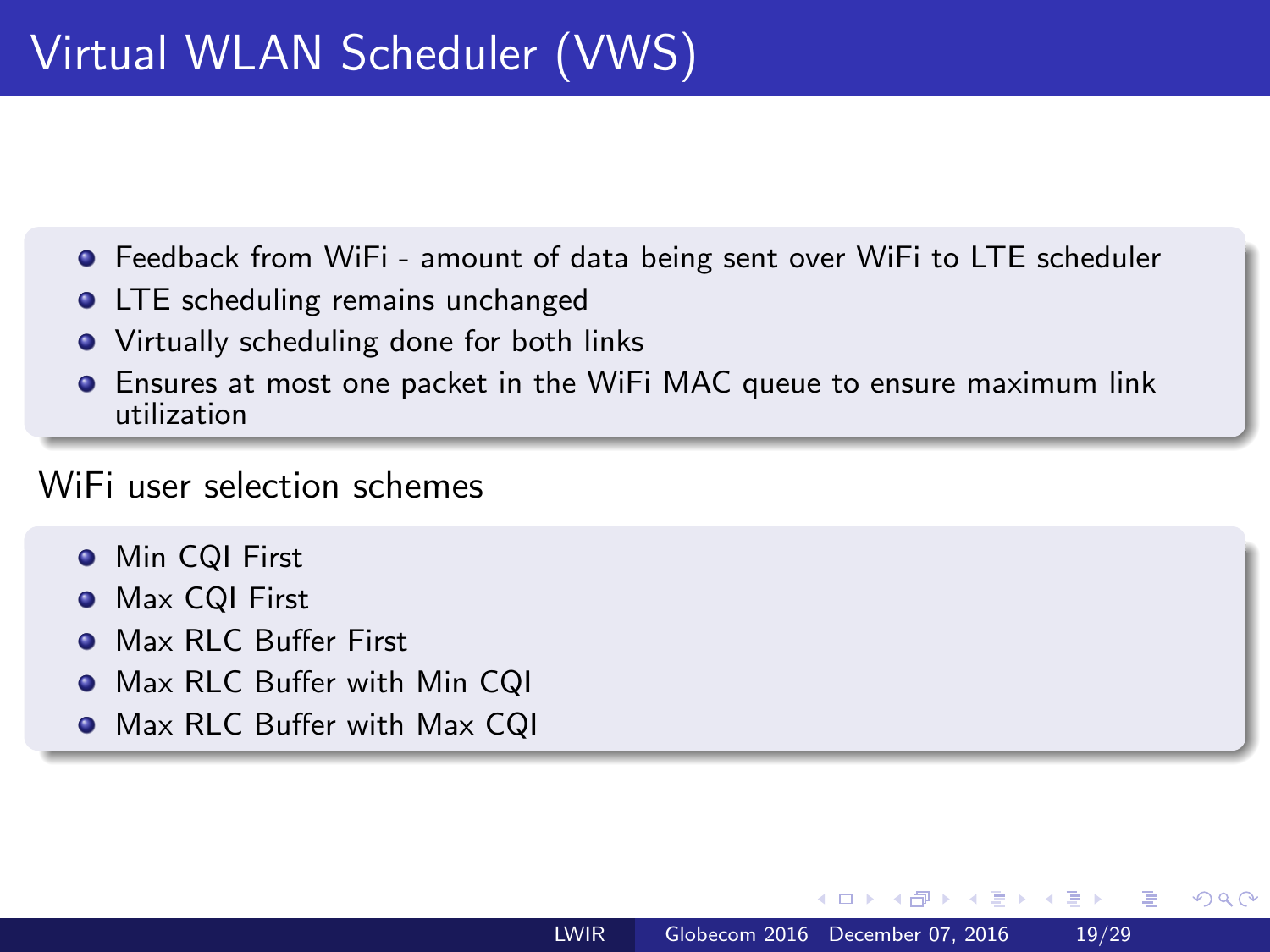- Feedback from WiFi amount of data being sent over WiFi to LTE scheduler
- LTE scheduling remains unchanged  $\bullet$
- Virtually scheduling done for both links
- Ensures at most one packet in the WiFi MAC queue to ensure maximum link utilization

### WiFi user selection schemes

- **•** Min CQI First
- **Max CQI First**
- **Max RLC Buffer First**
- **•** Max RLC Buffer with Min CQI
- **O** Max RLC Buffer with Max CQI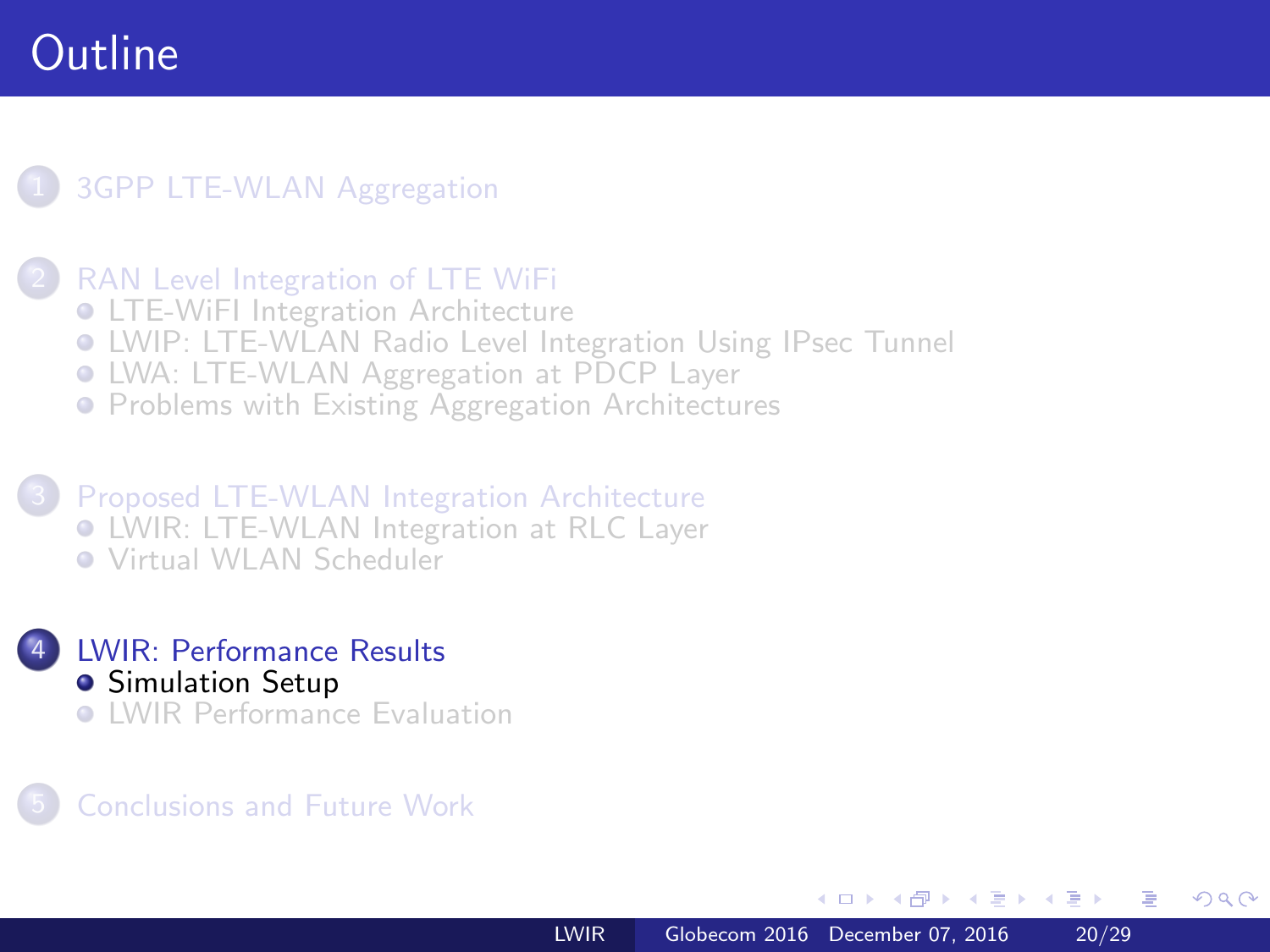### <span id="page-19-0"></span>**[3GPP LTE-WLAN Aggregation](#page-2-0)**

#### [RAN Level Integration of LTE WiFi](#page-3-0)

- **[LTE-WiFI Integration Architecture](#page-3-0)**
- [LWIP: LTE-WLAN Radio Level Integration Using IPsec Tunnel](#page-6-0)
- [LWA: LTE-WLAN Aggregation at PDCP Layer](#page-8-0)
- **[Problems with Existing Aggregation Architectures](#page-11-0)**

3 [Proposed LTE-WLAN Integration Architecture](#page-13-0) [LWIR: LTE-WLAN Integration at RLC Layer](#page-13-0) [Virtual WLAN Scheduler](#page-17-0)



#### 5 [Conclusions and Future Work](#page-27-0)

一心語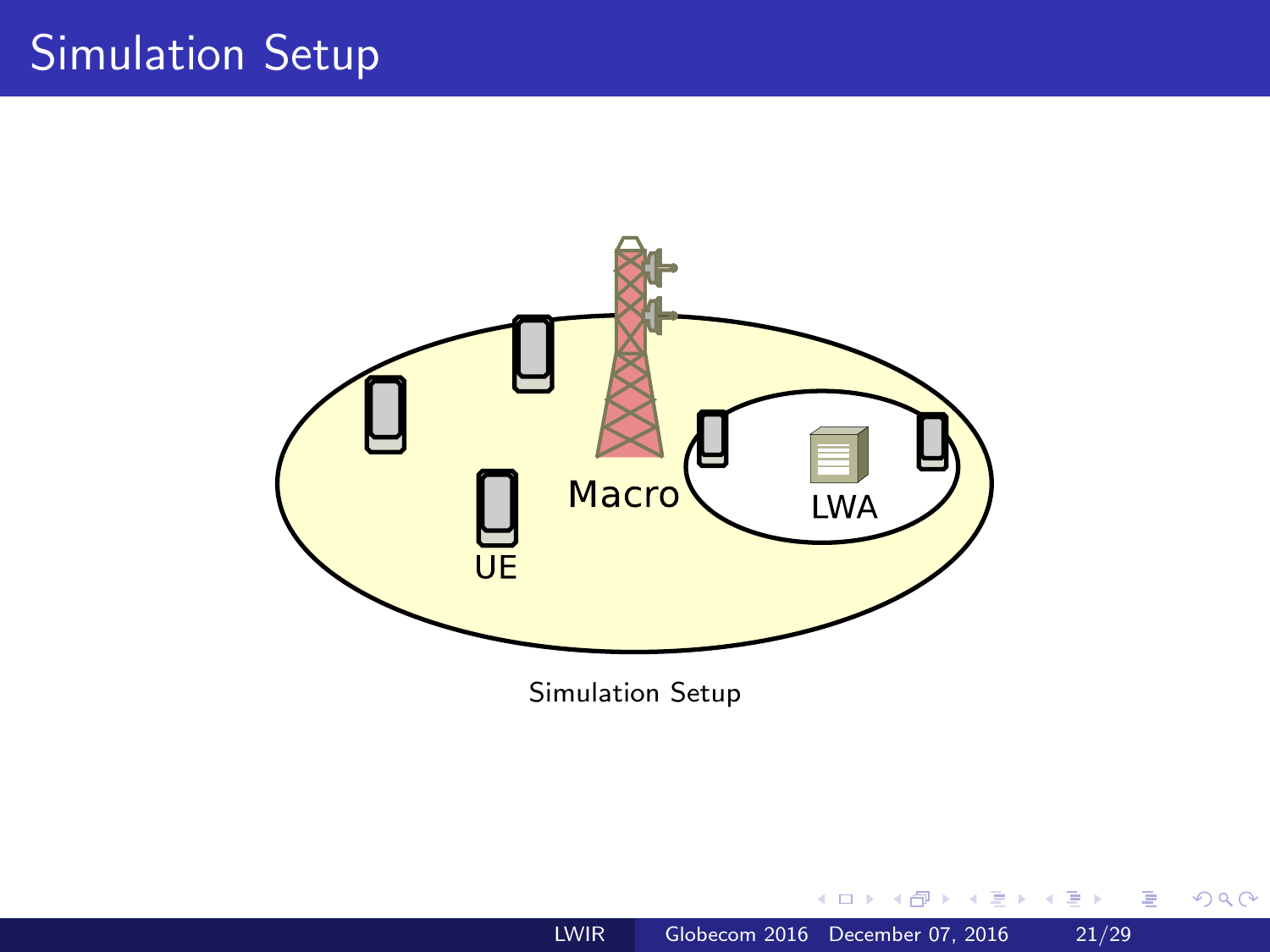# Simulation Setup



Simulation Setup

4 冊 ▶ 一心語  $\mathbf{h}$  3 동

**D** э  $299$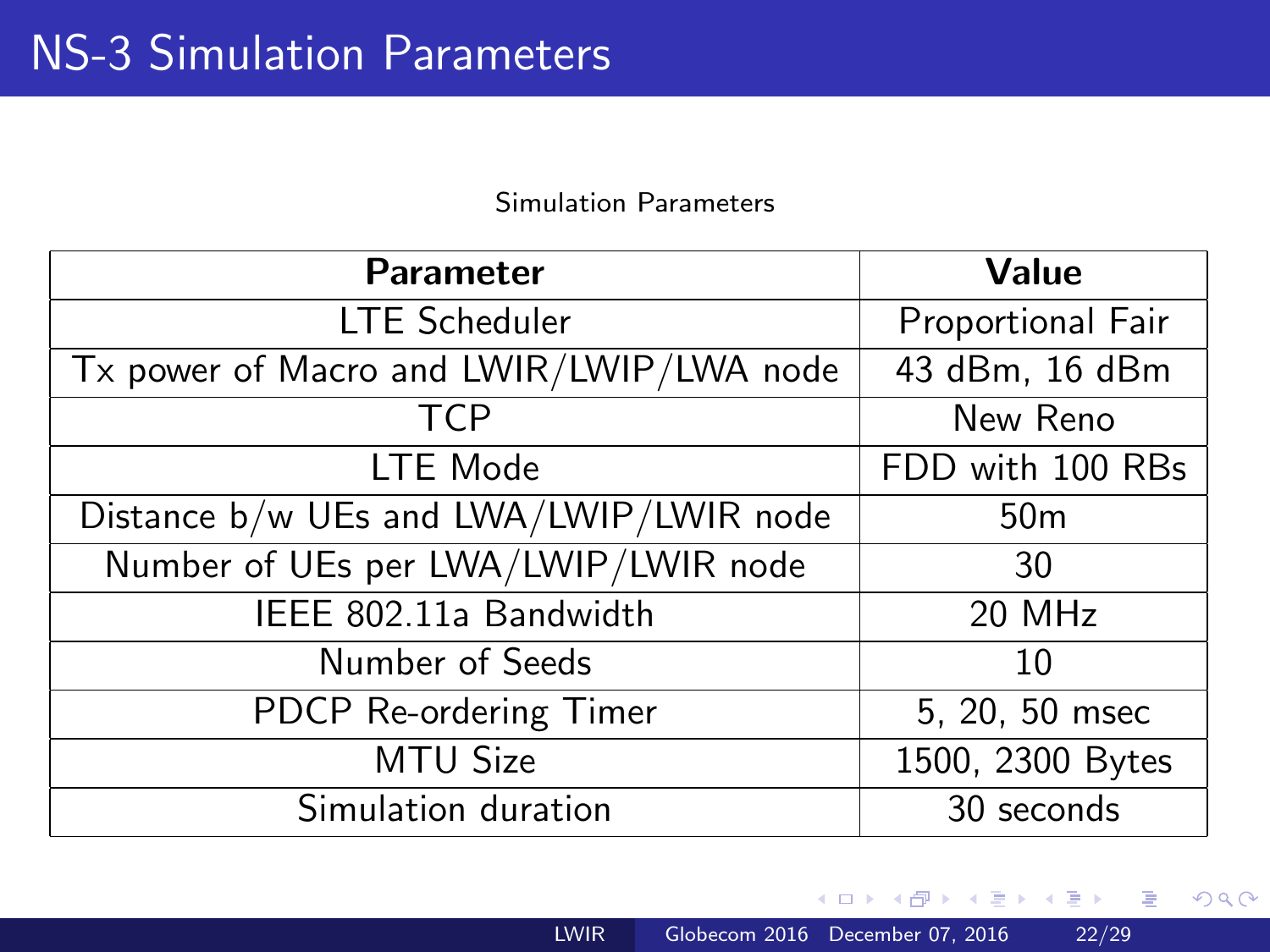#### Simulation Parameters

<span id="page-21-0"></span>

| <b>Parameter</b>                         | Value             |
|------------------------------------------|-------------------|
| <b>LTE Scheduler</b>                     | Proportional Fair |
| Tx power of Macro and LWIR/LWIP/LWA node | 43 dBm, 16 dBm    |
| <b>TCP</b>                               | New Reno          |
| LTE Mode                                 | FDD with 100 RBs  |
| Distance b/w UEs and LWA/LWIP/LWIR node  | 50 <sub>m</sub>   |
| Number of UEs per LWA/LWIP/LWIR node     | 30                |
| IEEE 802.11a Bandwidth                   | 20 MHz            |
| Number of Seeds                          | 10                |
| PDCP Re-ordering Timer                   | 5, 20, 50 msec    |
| <b>MTU Size</b>                          | 1500, 2300 Bytes  |
| Simulation duration                      | 30 seconds        |

A  $\sim$ 

 $\sim$   $-$ 

目

(目→) <目→

 $299$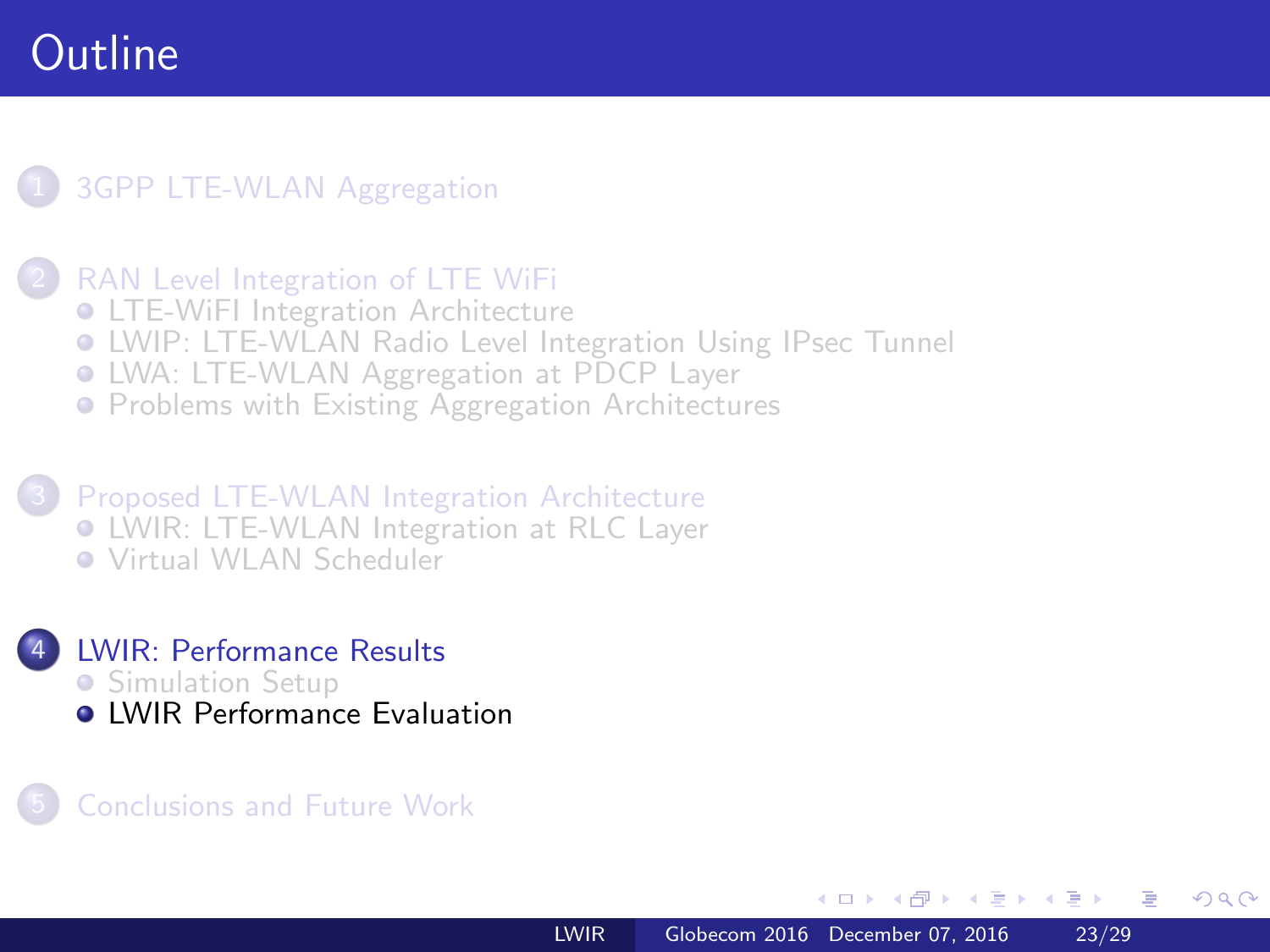### <span id="page-22-0"></span>**[3GPP LTE-WLAN Aggregation](#page-2-0)**

#### [RAN Level Integration of LTE WiFi](#page-3-0)

- **[LTE-WiFI Integration Architecture](#page-3-0)**
- [LWIP: LTE-WLAN Radio Level Integration Using IPsec Tunnel](#page-6-0)
- [LWA: LTE-WLAN Aggregation at PDCP Layer](#page-8-0)
- **[Problems with Existing Aggregation Architectures](#page-11-0)**

3 [Proposed LTE-WLAN Integration Architecture](#page-13-0) [LWIR: LTE-WLAN Integration at RLC Layer](#page-13-0) [Virtual WLAN Scheduler](#page-17-0)



#### 5 [Conclusions and Future Work](#page-27-0)

 $\overline{a}$   $\overline{m}$   $\overline{m}$ 

 $\lambda$  =  $\lambda$ 一本語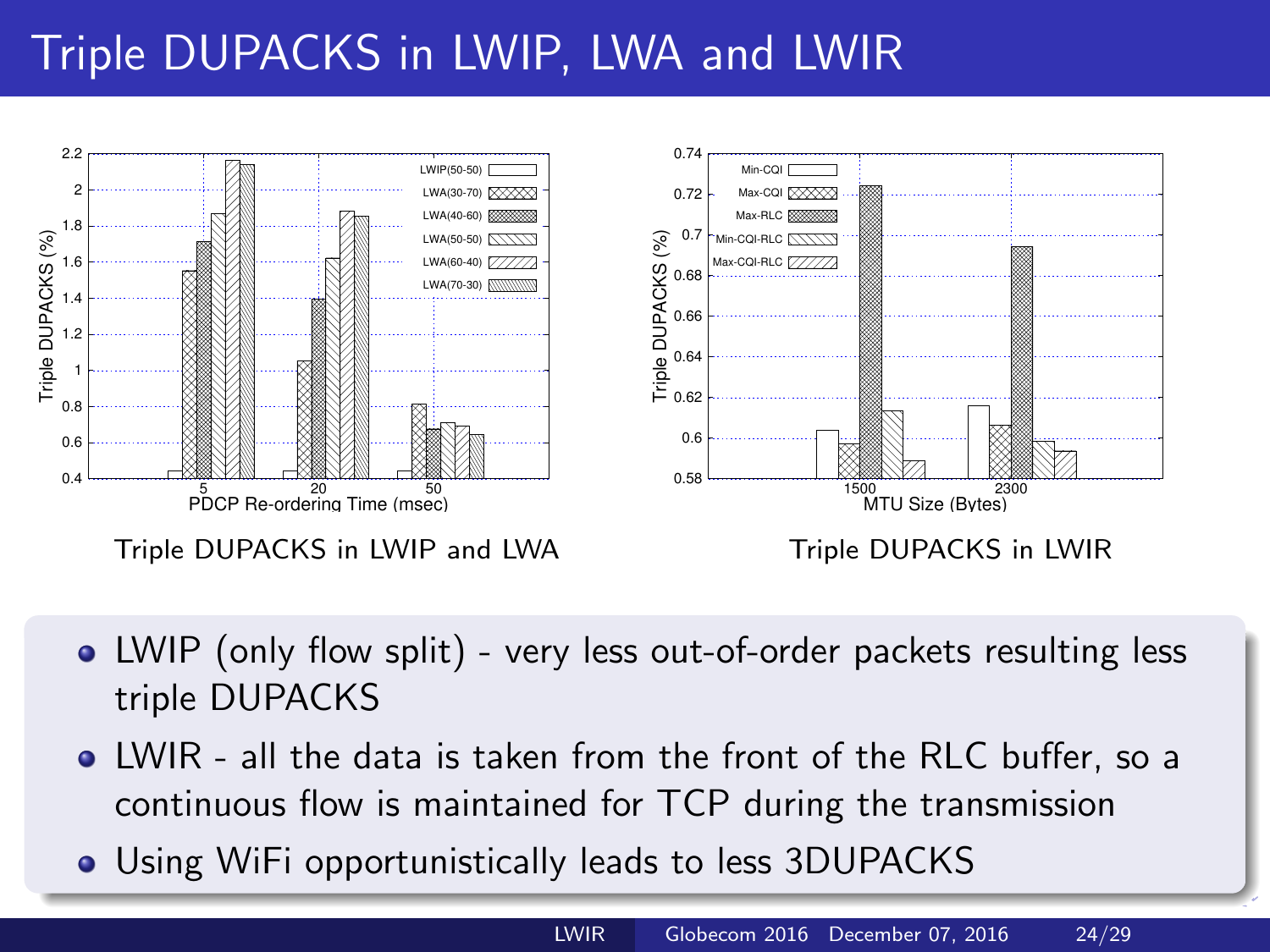# <span id="page-23-0"></span>Triple DUPACKS in LWIP, LWA and LWIR



- LWIP (only flow split) very less out-of-order packets resulting less triple DUPACKS
- LWIR all the data is taken from the front of the RLC buffer, so a continuous flow is maintained for TCP during the transmission
- Using WiFi opportunistically leads to less 3[DU](#page-22-0)[P](#page-24-0)[A](#page-22-0)[C](#page-23-0)[K](#page-24-0)[S](#page-21-0)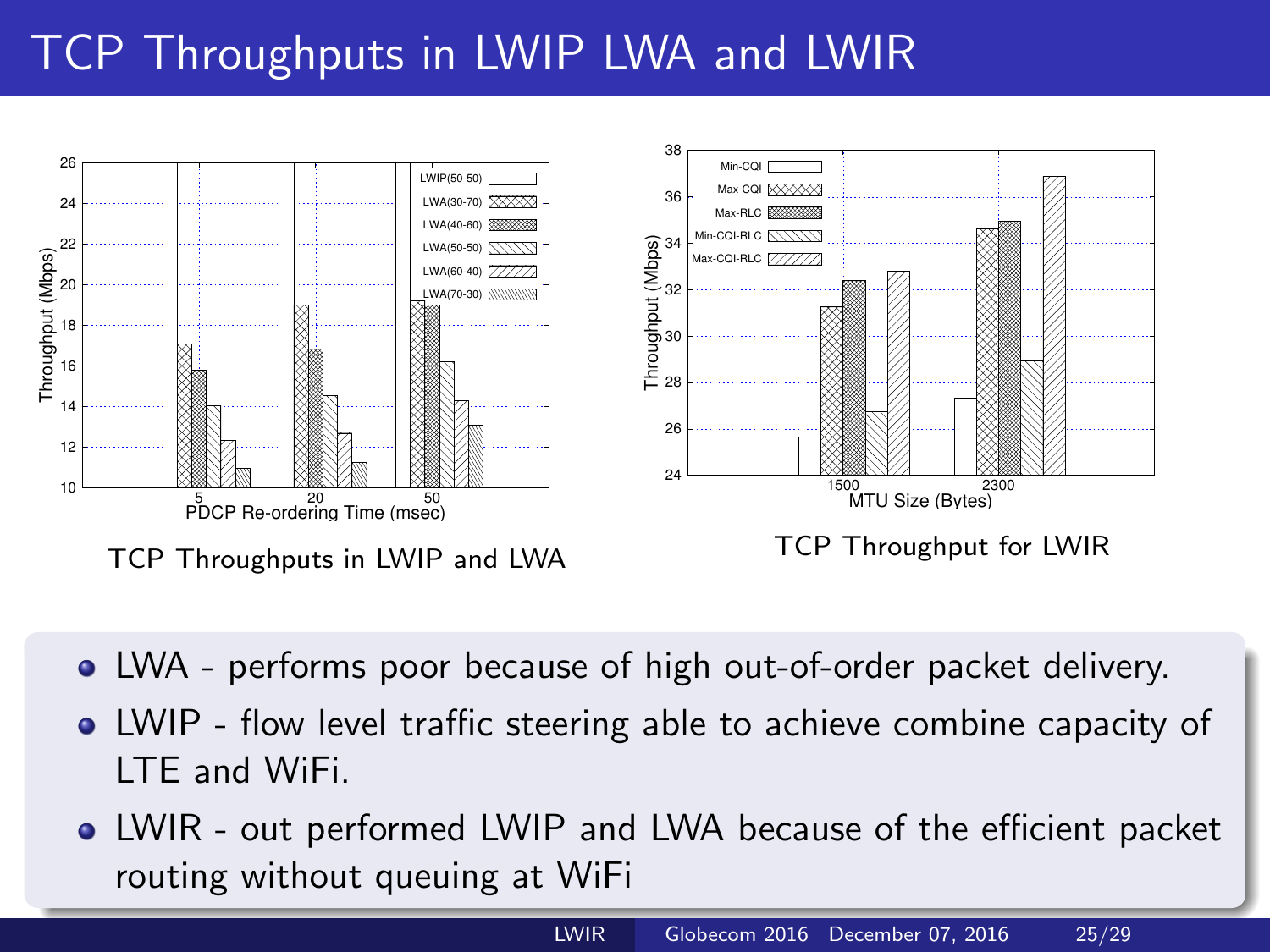# <span id="page-24-0"></span>TCP Throughputs in LWIP LWA and LWIR



- LWA performs poor because of high out-of-order packet delivery.
- LWIP flow level traffic steering able to achieve combine capacity of LTE and WiFi.
- LWIR out performed LWIP and LWA because of the efficient packet routing without queuing at WiFi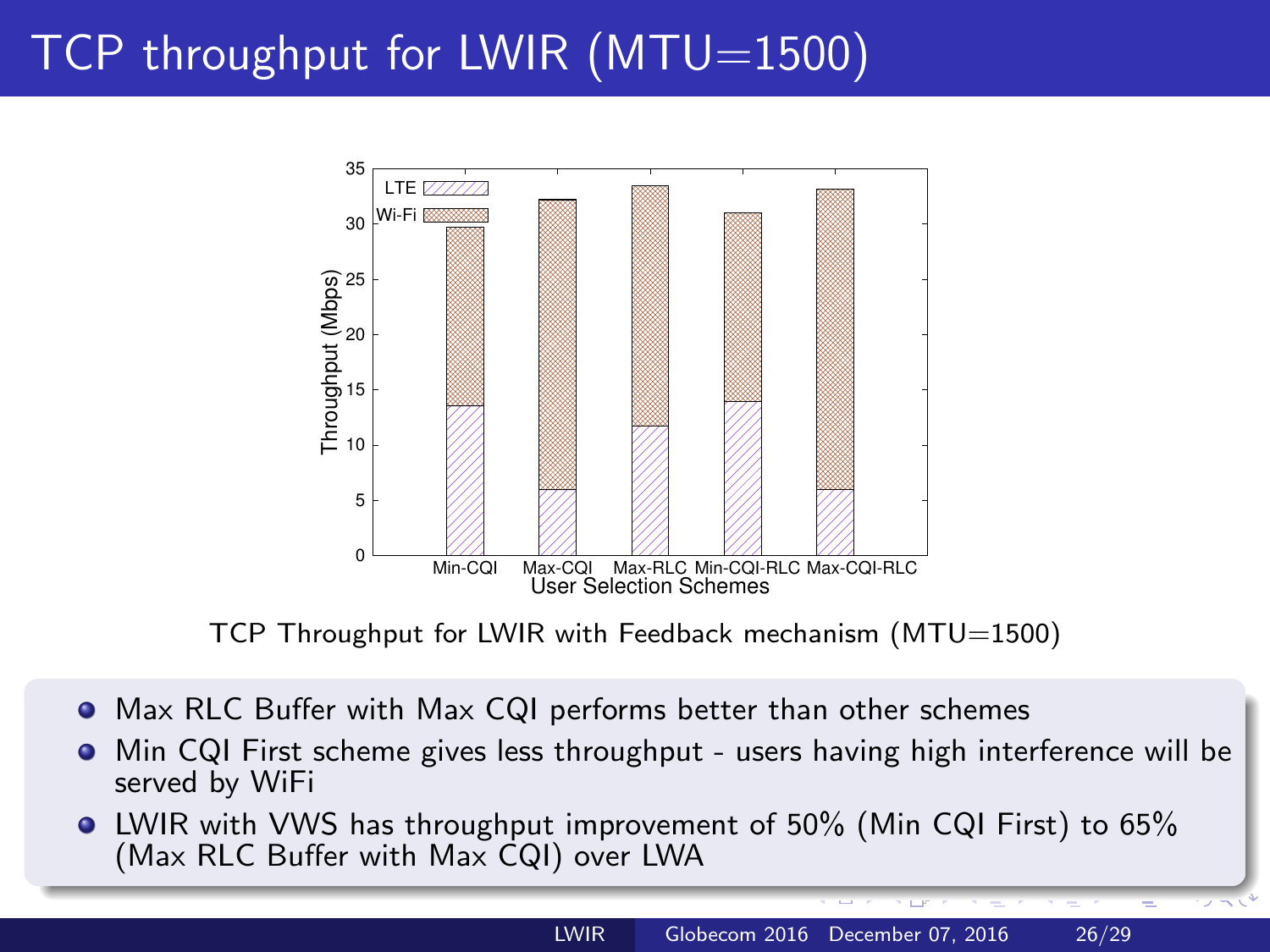# TCP throughput for LWIR (MTU=1500)



TCP Throughput for LWIR with Feedback mechanism (MTU=1500)

- Max RLC Buffer with Max CQI performs better than other schemes
- Min CQI First scheme gives less throughput users having high interference will be . served by WiFi
- LWIR with VWS has throughput improvement of 50% (Min CQI First) to 65% (Max RLC Buffer with Max CQI) over LWA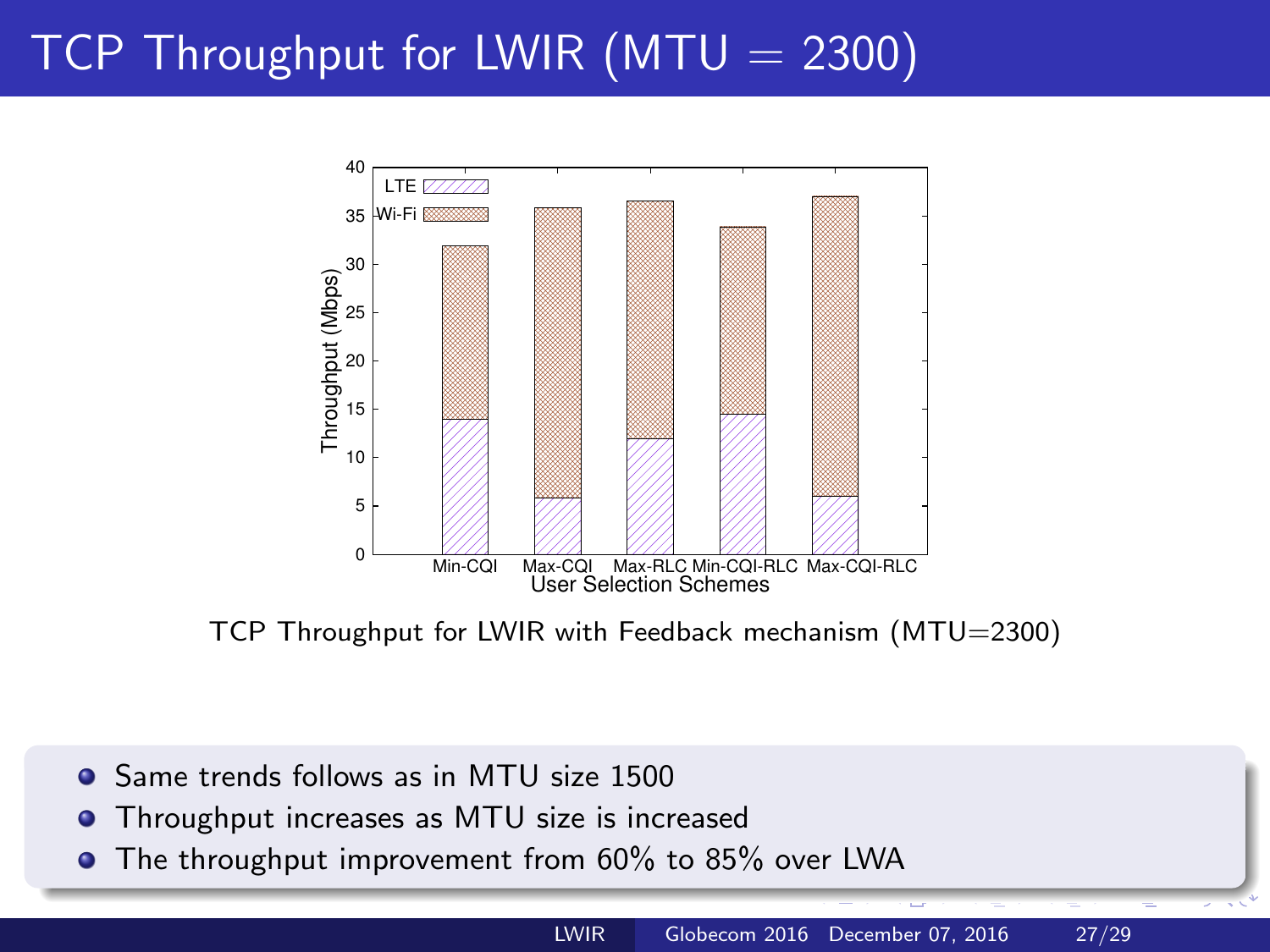# TCP Throughput for LWIR  $(MTU = 2300)$



TCP Throughput for LWIR with Feedback mechanism (MTU=2300)

- Same trends follows as in MTU size 1500
- Throughput increases as MTU size is increased  $\bullet$
- **•** The throughput improvement from 60% to 85% over LWA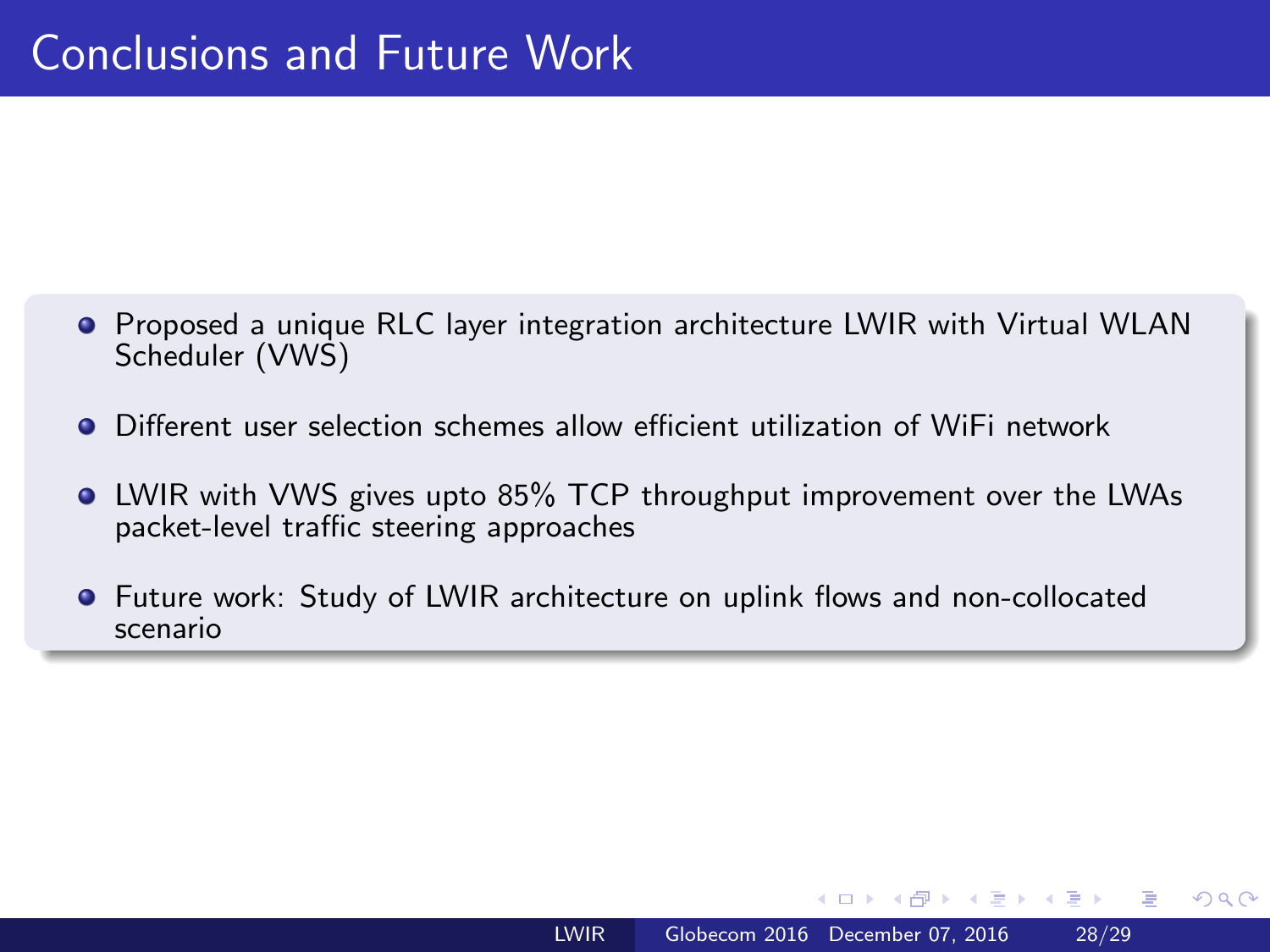- <span id="page-27-0"></span>**•** Proposed a unique RLC layer integration architecture LWIR with Virtual WLAN Scheduler (VWS)
- Different user selection schemes allow efficient utilization of WiFi network
- LWIR with VWS gives upto 85% TCP throughput improvement over the LWAs packet-level traffic steering approaches
- Future work: Study of LWIR architecture on uplink flows and non-collocated scenario